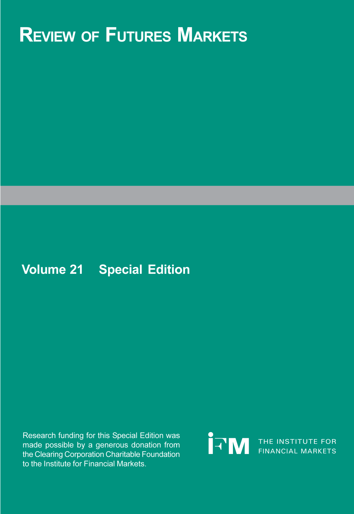# **REVIEW OF FUTURES MARKETS**

# **Volume 21 Special Edition**

Research funding for this Special Edition was made possible by a generous donation from the Clearing Corporation Charitable Foundation to the Institute for Financial Markets.

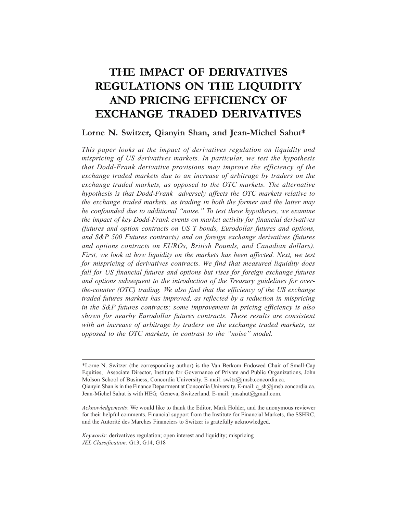# **THE IMPACT OF DERIVATIVES REGULATIONS ON THE LIQUIDITY AND PRICING EFFICIENCY OF EXCHANGE TRADED DERIVATIVES**

# **Lorne N. Switzer, Qianyin Shan, and Jean-Michel Sahut\***

*This paper looks at the impact of derivatives regulation on liquidity and mispricing of US derivatives markets. In particular, we test the hypothesis that Dodd-Frank derivative provisions may improve the efficiency of the exchange traded markets due to an increase of arbitrage by traders on the exchange traded markets, as opposed to the OTC markets. The alternative hypothesis is that Dodd-Frank adversely affects the OTC markets relative to the exchange traded markets, as trading in both the former and the latter may be confounded due to additional "noise." To test these hypotheses, we examine the impact of key Dodd-Frank events on market activity for financial derivatives (futures and option contracts on US T bonds, Eurodollar futures and options, and S&P 500 Futures contracts) and on foreign exchange derivatives (futures and options contracts on EUROs, British Pounds, and Canadian dollars). First, we look at how liquidity on the markets has been affected. Next, we test for mispricing of derivatives contracts. We find that measured liquidity does fall for US financial futures and options but rises for foreign exchange futures and options subsequent to the introduction of the Treasury guidelines for overthe-counter (OTC) trading. We also find that the efficiency of the US exchange traded futures markets has improved, as reflected by a reduction in mispricing in the S&P futures contracts; some improvement in pricing efficiency is also shown for nearby Eurodollar futures contracts. These results are consistent with an increase of arbitrage by traders on the exchange traded markets, as opposed to the OTC markets, in contrast to the "noise" model.*

<sup>\*</sup>Lorne N. Switzer (the corresponding author) is the Van Berkom Endowed Chair of Small-Cap Equities, Associate Director, Institute for Governance of Private and Public Organizations, John Molson School of Business, Concordia University. E-mail: switz@jmsb.concordia.ca. Qianyin Shan is in the Finance Department at Concordia University. E-mail: q\_sh@jmsb.concordia.ca. Jean-Michel Sahut is with HEG, Geneva, Switzerland. E-mail: jmsahut@gmail.com.

*Acknowledgements*: We would like to thank the Editor, Mark Holder, and the anonymous reviewer for their helpful comments. Financial support from the Institute for Financial Markets, the SSHRC, and the Autorité des Marches Financiers to Switzer is gratefully acknowledged.

*Keywords:* derivatives regulation; open interest and liquidity; mispricing *JEL Classification:* G13, G14, G18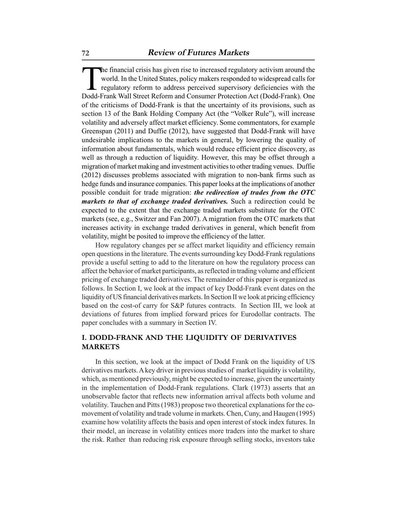The financial crisis has given rise to increased regulatory activism around the<br>world. In the United States, policy makers responded to widespread calls for<br>regulatory reform to address perceived supervisory deficiencies w world. In the United States, policy makers responded to widespread calls for regulatory reform to address perceived supervisory deficiencies with the Dodd-Frank Wall Street Reform and Consumer Protection Act (Dodd-Frank). One of the criticisms of Dodd-Frank is that the uncertainty of its provisions, such as section 13 of the Bank Holding Company Act (the "Volker Rule"), will increase volatility and adversely affect market efficiency. Some commentators, for example Greenspan (2011) and Duffie (2012), have suggested that Dodd-Frank will have undesirable implications to the markets in general, by lowering the quality of information about fundamentals, which would reduce efficient price discovery, as well as through a reduction of liquidity. However, this may be offset through a migration of market making and investment activities to other trading venues. Duffie (2012) discusses problems associated with migration to non-bank firms such as hedge funds and insurance companies. This paper looks at the implications of another possible conduit for trade migration: *the redirection of trades from the OTC markets to that of exchange traded derivatives.* Such a redirection could be expected to the extent that the exchange traded markets substitute for the OTC markets (see, e.g., Switzer and Fan 2007). A migration from the OTC markets that increases activity in exchange traded derivatives in general, which benefit from volatility, might be posited to improve the efficiency of the latter.

How regulatory changes per se affect market liquidity and efficiency remain open questions in the literature. The events surrounding key Dodd-Frank regulations provide a useful setting to add to the literature on how the regulatory process can affect the behavior of market participants, as reflected in trading volume and efficient pricing of exchange traded derivatives. The remainder of this paper is organized as follows. In Section I, we look at the impact of key Dodd-Frank event dates on the liquidity of US financial derivatives markets. In Section II we look at pricing efficiency based on the cost-of carry for S&P futures contracts. In Section III, we look at deviations of futures from implied forward prices for Eurodollar contracts. The paper concludes with a summary in Section IV.

# **I. DODD-FRANK AND THE LIQUIDITY OF DERIVATIVES MARKETS**

In this section, we look at the impact of Dodd Frank on the liquidity of US derivatives markets. A key driver in previous studies of market liquidity is volatility, which, as mentioned previously, might be expected to increase, given the uncertainty in the implementation of Dodd-Frank regulations. Clark (1973) asserts that an unobservable factor that reflects new information arrival affects both volume and volatility. Tauchen and Pitts (1983) propose two theoretical explanations for the comovement of volatility and trade volume in markets. Chen, Cuny, and Haugen (1995) examine how volatility affects the basis and open interest of stock index futures. In their model, an increase in volatility entices more traders into the market to share the risk. Rather than reducing risk exposure through selling stocks, investors take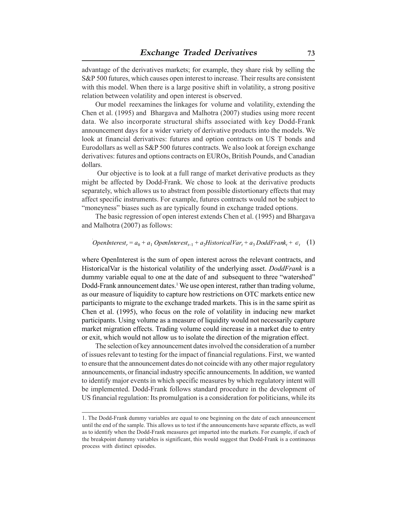advantage of the derivatives markets; for example, they share risk by selling the S&P 500 futures, which causes open interest to increase. Their results are consistent with this model. When there is a large positive shift in volatility, a strong positive relation between volatility and open interest is observed.

Our model reexamines the linkages for volume and volatility, extending the Chen et al. (1995) and Bhargava and Malhotra (2007) studies using more recent data. We also incorporate structural shifts associated with key Dodd-Frank announcement days for a wider variety of derivative products into the models. We look at financial derivatives: futures and option contracts on US T bonds and Eurodollars as well as S&P 500 futures contracts. We also look at foreign exchange derivatives: futures and options contracts on EUROs, British Pounds, and Canadian dollars.

 Our objective is to look at a full range of market derivative products as they might be affected by Dodd-Frank. We chose to look at the derivative products separately, which allows us to abstract from possible distortionary effects that may affect specific instruments. For example, futures contracts would not be subject to "moneyness" biases such as are typically found in exchange traded options.

The basic regression of open interest extends Chen et al. (1995) and Bhargava and Malhotra (2007) as follows:

## $OpenInterest_r = a_0 + a_1 OpenInterest_{r-1} + a_2 HistoricalVar_t + a_3 DoddFrank_t + \epsilon_t$  (1)

where OpenInterest is the sum of open interest across the relevant contracts, and HistoricalVar is the historical volatility of the underlying asset. *DoddFrank* is a dummy variable equal to one at the date of and subsequent to three "watershed" Dodd-Frank announcement dates.<sup>1</sup> We use open interest, rather than trading volume, as our measure of liquidity to capture how restrictions on OTC markets entice new participants to migrate to the exchange traded markets. This is in the same spirit as Chen et al. (1995), who focus on the role of volatility in inducing new market participants. Using volume as a measure of liquidity would not necessarily capture market migration effects. Trading volume could increase in a market due to entry or exit, which would not allow us to isolate the direction of the migration effect.

The selection of key announcement dates involved the consideration of a number of issues relevant to testing for the impact of financial regulations. First, we wanted to ensure that the announcement dates do not coincide with any other major regulatory announcements, or financial industry specific announcements. In addition, we wanted to identify major events in which specific measures by which regulatory intent will be implemented. Dodd-Frank follows standard procedure in the development of US financial regulation: Its promulgation is a consideration for politicians, while its

<sup>1.</sup> The Dodd-Frank dummy variables are equal to one beginning on the date of each announcement until the end of the sample. This allows us to test if the announcements have separate effects, as well as to identify when the Dodd-Frank measures get imparted into the markets. For example, if each of the breakpoint dummy variables is significant, this would suggest that Dodd-Frank is a continuous process with distinct episodes.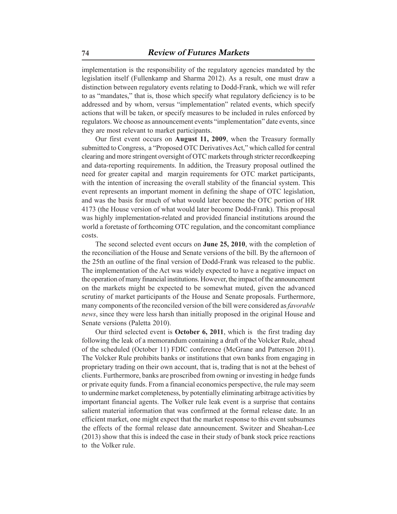implementation is the responsibility of the regulatory agencies mandated by the legislation itself (Fullenkamp and Sharma 2012). As a result, one must draw a distinction between regulatory events relating to Dodd-Frank, which we will refer to as "mandates," that is, those which specify what regulatory deficiency is to be addressed and by whom, versus "implementation" related events, which specify actions that will be taken, or specify measures to be included in rules enforced by regulators. We choose as announcement events "implementation" date events, since they are most relevant to market participants.

Our first event occurs on **August 11, 2009**, when the Treasury formally submitted to Congress, a "Proposed OTC Derivatives Act," which called for central clearing and more stringent oversight of OTC markets through stricter recordkeeping and data-reporting requirements. In addition, the Treasury proposal outlined the need for greater capital and margin requirements for OTC market participants, with the intention of increasing the overall stability of the financial system. This event represents an important moment in defining the shape of OTC legislation, and was the basis for much of what would later become the OTC portion of HR 4173 (the House version of what would later become Dodd-Frank). This proposal was highly implementation-related and provided financial institutions around the world a foretaste of forthcoming OTC regulation, and the concomitant compliance costs.

The second selected event occurs on **June 25, 2010**, with the completion of the reconciliation of the House and Senate versions of the bill. By the afternoon of the 25th an outline of the final version of Dodd-Frank was released to the public. The implementation of the Act was widely expected to have a negative impact on the operation of many financial institutions. However, the impact of the announcement on the markets might be expected to be somewhat muted, given the advanced scrutiny of market participants of the House and Senate proposals. Furthermore, many components of the reconciled version of the bill were considered as *favorable news*, since they were less harsh than initially proposed in the original House and Senate versions (Paletta 2010).

Our third selected event is **October 6, 2011**, which is the first trading day following the leak of a memorandum containing a draft of the Volcker Rule, ahead of the scheduled (October 11) FDIC conference (McGrane and Patterson 2011). The Volcker Rule prohibits banks or institutions that own banks from engaging in proprietary trading on their own account, that is, trading that is not at the behest of clients. Furthermore, banks are proscribed from owning or investing in hedge funds or private equity funds. From a financial economics perspective, the rule may seem to undermine market completeness, by potentially eliminating arbitrage activities by important financial agents. The Volker rule leak event is a surprise that contains salient material information that was confirmed at the formal release date. In an efficient market, one might expect that the market response to this event subsumes the effects of the formal release date announcement. Switzer and Sheahan-Lee (2013) show that this is indeed the case in their study of bank stock price reactions to the Volker rule.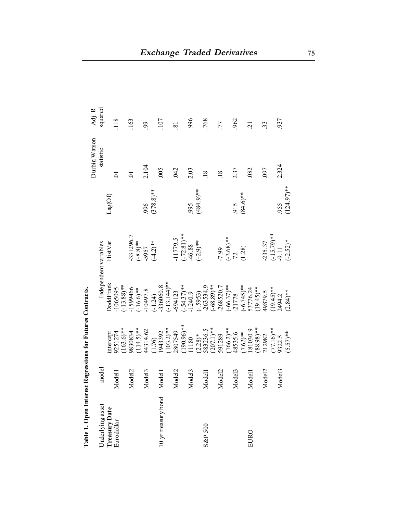|                             |                    |                                               |                                        |                                                  |                    | Durbin Watson   | Adj. R         |
|-----------------------------|--------------------|-----------------------------------------------|----------------------------------------|--------------------------------------------------|--------------------|-----------------|----------------|
| Jnderlying asset            | model              |                                               | Independent variables                  |                                                  |                    | statistic       | squared        |
| Treasury Date<br>Eurodollar |                    | ntercept                                      | DoddFrank                              | <b>HistVar</b>                                   | Lag(OI)            |                 |                |
|                             | Model <sub>1</sub> | 9251274                                       | 1065095                                |                                                  |                    | $\overline{5}$  | 118            |
|                             |                    | $163.6$ <sup>**</sup>                         |                                        |                                                  |                    |                 |                |
|                             | Model <sub>2</sub> | 9830834                                       | $(-13.88)$ **<br>-1599466              |                                                  |                    | $\overline{C}$  | 163            |
|                             |                    | $114.5$ <sup>**</sup>                         | $(-16.6)$ **                           |                                                  |                    |                 |                |
|                             | Model <sub>3</sub> | 44314.62                                      | 10497.8                                | $-331296.7$<br>$(-8.8)$ <sup>**</sup><br>$-5957$ | 996                | 2.104           | 99             |
|                             |                    | $\frac{(1.76)}{1943392}$                      | $(-1.24)$<br>-336060.8                 | $(-4.2)$ **                                      | $(378.8)$ **       |                 |                |
| 10 yr treasury bond         | Model <sub>1</sub> |                                               |                                        |                                                  |                    | 005             | 107            |
|                             |                    | $103.2$ <sup>**</sup>                         | $(-13.144)$ **                         |                                                  |                    |                 |                |
|                             | Model2             | 2807549                                       | $-694123$                              | $-11779.5$                                       |                    | 042             | $\overline{8}$ |
|                             |                    | $(190.96)$ **<br>11180                        |                                        |                                                  |                    |                 |                |
|                             | Model <sub>3</sub> |                                               | $(-54.37)$ **                          | $(-72.81)$ **<br>46.88<br>(-2.9)**               | 995                | 2.03            | 996            |
|                             |                    |                                               |                                        |                                                  | $(484.9)$ **       |                 |                |
| S&P 500                     | Model <sub>1</sub> |                                               |                                        |                                                  |                    | $\overline{18}$ | 768            |
|                             |                    |                                               | $(-.5953)$<br>-263534.9<br>(-68.89)**  |                                                  |                    |                 |                |
|                             | Model <sub>2</sub> | $(2.28)*$<br>583236.5<br>(207.1) **<br>591289 | $-268520.7$                            | $-7.99$                                          |                    | $\overline{18}$ | 77             |
|                             |                    |                                               |                                        |                                                  |                    |                 |                |
|                             | Model <sub>3</sub> |                                               | $(-66.37)$ **<br>-21778                |                                                  |                    | 2.37            | 962            |
|                             |                    | $(166.2)*$<br>48535.6<br>(7.62)**<br>181030.9 |                                        | $\frac{(-3.68)**}{72}$<br>(1.28)                 | $.915$<br>(84.6)** |                 |                |
| EURO                        | Model <sub>1</sub> |                                               |                                        |                                                  |                    | 082             | $\overline{c}$ |
|                             |                    | 88.98)**                                      | $(-6.745)$ **<br>53776.24<br>(19.45)** |                                                  |                    |                 |                |
|                             | Model <sub>2</sub> | 212982                                        | 49879.5<br>(19.45)**<br>2494.2         | $-235.37$<br>$(-15.79)$ **<br>$-9.11$            |                    | 097             | 33             |
|                             |                    | $(77.16)$ **<br>9322.5                        |                                        |                                                  |                    |                 |                |
|                             | Model <sub>3</sub> |                                               |                                        |                                                  | 955                | 2.324           | 937            |
|                             |                    | $(5.57)$ **                                   | $(2.84)$ **                            | $(-2.52)*$                                       | $(124.97)$ **      |                 |                |

Table 1. Open Interest Regressions for Futures Contracts. **Table 1. Open Interest Regressions for Futures Contracts.**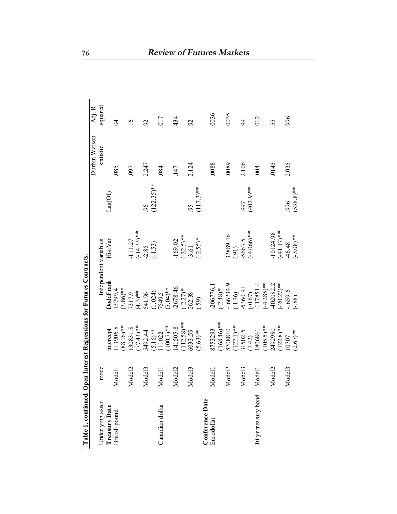| Table 1, continued. Open Interest Regressions for Futures Contracts. |                    |                                        |                                                                                                                           |                                      |               |               |                 |
|----------------------------------------------------------------------|--------------------|----------------------------------------|---------------------------------------------------------------------------------------------------------------------------|--------------------------------------|---------------|---------------|-----------------|
|                                                                      |                    |                                        |                                                                                                                           |                                      |               | Durbin Watson | Adj. R          |
| Underlying asset                                                     | model              |                                        |                                                                                                                           | Independent variables                |               | statistic     | squared         |
| Treasury Date                                                        |                    | ntercept                               | DoddFrank                                                                                                                 | HistVar                              | Lag(OI)       |               |                 |
| British pound                                                        | Model <sub>1</sub> | 13906.8                                | 13799.4                                                                                                                   |                                      |               | .085          | $\beta$         |
|                                                                      |                    | 88.16)**                               |                                                                                                                           |                                      |               |               |                 |
|                                                                      | Model <sub>2</sub> | 30831.8                                |                                                                                                                           |                                      |               | 097           | $\overline{16}$ |
|                                                                      |                    | $(77.43)$ **<br>5492.44                |                                                                                                                           |                                      |               |               |                 |
|                                                                      | Model <sub>3</sub> |                                        | $(7.86)$ **<br>$73179$<br>$(4.3)$ **<br>$(4.3)$ **<br>$(5.024)$<br>$(5.04)$ *<br>$(5.04)$ *<br>$(-2.27)$ *<br>$(-2.27)$ * | $-111.27$<br>$(-14.33)**$<br>$-2.85$ | 96            | 2.247         | $\mathcal{S}$   |
|                                                                      |                    | $(5.16)$ **<br>111022                  |                                                                                                                           | $(-1.53)$                            | $(122.35)$ ** |               |                 |
| Canadian dollar                                                      | Model <sup>1</sup> |                                        |                                                                                                                           |                                      |               | 084           | 017             |
|                                                                      |                    |                                        |                                                                                                                           |                                      |               |               |                 |
|                                                                      | Model <sub>2</sub> | $(100.7)$ **<br>141505.8<br>(112.58)** |                                                                                                                           | $-169.02$<br>$(-32.5)**$<br>$-3.61$  |               | 147           | 434             |
|                                                                      |                    |                                        |                                                                                                                           |                                      |               |               |                 |
|                                                                      | Model <sub>3</sub> | 6033.59                                |                                                                                                                           |                                      | 95            | 2.124         | $\mathcal{S}$   |
|                                                                      |                    | $(5.63)$ **                            | (59)                                                                                                                      | $(-2.55)*$                           | $(117.3)$ **  |               |                 |
| Conference Date                                                      |                    |                                        |                                                                                                                           |                                      |               |               |                 |
| Eurodollar                                                           | Model <sub>1</sub> | 8753293                                | $-206776.1$                                                                                                               |                                      |               | 0088          | 0036            |
|                                                                      |                    |                                        |                                                                                                                           |                                      |               |               |                 |
|                                                                      | Model <sub>2</sub> | $(168.46)**$<br>8708810<br>(122.1)**   | $(-2.48)*$<br>-166234.9                                                                                                   | 32889.16                             |               | 0089          | .0035           |
|                                                                      |                    |                                        |                                                                                                                           | (91)                                 |               |               |                 |
|                                                                      | Model <sub>3</sub> | 31502.5                                | $(-1.76)$<br>-5360.91                                                                                                     | -5663.5                              | 997           | 2.106         | 99              |
|                                                                      |                    | $\frac{(1.42)}{1806861}$               | $(-0.67)$<br>-117851.4                                                                                                    | $-4.066$ <sup>**</sup>               | $(402.9)$ **  |               |                 |
| 10 yr treasury bond                                                  | Model <sub>1</sub> |                                        |                                                                                                                           |                                      |               | .004          | 012             |
|                                                                      |                    | $(105.5)$ **<br>2492980                | $(-4.285)$ **                                                                                                             |                                      |               |               |                 |
|                                                                      | Model <sub>2</sub> |                                        | 402082.2                                                                                                                  | 10124.98                             |               | 0145          | 55              |
|                                                                      |                    | $122.8$ <sup>**</sup>                  | $(-20.27)$ **                                                                                                             | $(-41.17)$ **<br>46.48               |               |               |                 |
|                                                                      | Model <sub>3</sub> | .0707                                  | $-1659.6$<br>$(-.88)$                                                                                                     |                                      | 996           | 2.035         | 996             |
|                                                                      |                    | $(2.67)$ **                            |                                                                                                                           | $(-3.08)$ **                         | $(538.8)$ **  |               |                 |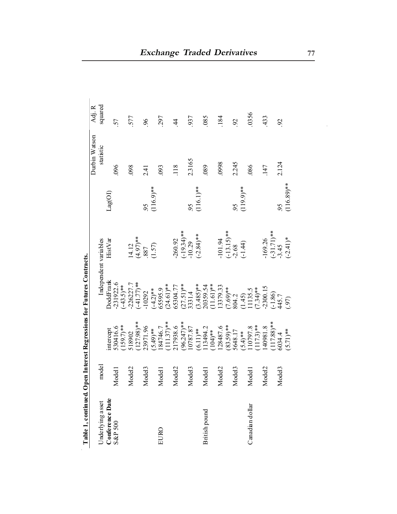| Tame 1, Commune of         |                    |                                                | <b>Pull met est reglessions for Futures Commacts.</b>                                                         |                                       |               |               |                          |
|----------------------------|--------------------|------------------------------------------------|---------------------------------------------------------------------------------------------------------------|---------------------------------------|---------------|---------------|--------------------------|
|                            |                    |                                                |                                                                                                               |                                       |               | Durbin Watson | Adj. R                   |
| Jnderlying asset           | model              |                                                | Independent variables                                                                                         |                                       |               | statistic     | squared                  |
|                            |                    | ntercept                                       | DoddFrank                                                                                                     | <b>HistVar</b>                        | Lag(OI)       |               |                          |
| Conference Date<br>S&P 500 | Model <sub>1</sub> | 530416.6                                       | 231922.6                                                                                                      |                                       |               | 096           | 57                       |
|                            |                    | 159.7)**                                       |                                                                                                               |                                       |               |               |                          |
|                            | Model <sub>2</sub> | 518902                                         |                                                                                                               |                                       |               | 098           | 577                      |
|                            |                    | $(127.98)$ **                                  | $(-43.5)$ **<br>-226227.7<br>-41.77)**                                                                        |                                       |               |               |                          |
|                            | Model <sub>3</sub> | 23971.96                                       | $-10292$                                                                                                      | $14.12$<br>(4.97)**<br>.887           | 95            | 2.41          | $\delta$                 |
|                            |                    |                                                |                                                                                                               | (1.57)                                | $(116.9)$ **  |               |                          |
| EURO                       | Model <sub>1</sub> |                                                |                                                                                                               |                                       |               | 093           | 297                      |
|                            |                    | $(5.49)$ **<br>184746.7<br>11137)**            |                                                                                                               |                                       |               |               |                          |
|                            | Model <sub>2</sub> | 217938.6                                       | $(-4.2)*$<br>65595.9<br>6595.9<br>(24.61)**<br>65304.77<br>3331.4                                             | $-260.92$<br>$(-19.34)**$<br>$-10.29$ |               | 118           | $rac{4}{4}$              |
|                            |                    |                                                |                                                                                                               |                                       |               |               |                          |
|                            | Model <sub>3</sub> | $(96.247)$ **<br>10787.87                      |                                                                                                               |                                       | 95            | 2.3165        | 937                      |
|                            |                    | $(6.11)$ <sup>**</sup><br>113494.2<br>113494.2 |                                                                                                               | $(-2.84)$ **                          | $(116.1)$ **  |               |                          |
| British pound              | Model <sub>1</sub> |                                                |                                                                                                               |                                       |               | 089           | .085                     |
|                            |                    |                                                | $(3.485)$ **<br>20359.54<br>20359.54<br>(1.61)**<br>(1.61)**<br>(1.86)<br>804.2<br>(1.86)<br>(1.86)<br>(1.86) |                                       |               |               |                          |
|                            | Model <sub>2</sub> | 28487.6                                        |                                                                                                               | $-101.94$                             |               | 8660          | .184                     |
|                            |                    | 83.59)**                                       |                                                                                                               |                                       |               |               |                          |
|                            | Model <sub>3</sub> | 5648.17                                        |                                                                                                               |                                       | 95            | 2.245         | $\mathcal{S}$            |
|                            |                    | $(5.4)$ **                                     |                                                                                                               | $(-13.15)$ **<br>-2.68<br>(-1.44)     | $(119.9)$ **  |               |                          |
| Canadian dollar            | Model <sub>1</sub> |                                                |                                                                                                               |                                       |               | 086           | .0356                    |
|                            |                    | $\frac{110797.8}{(117.3)**}$                   |                                                                                                               |                                       |               |               |                          |
|                            | Model <sub>2</sub> | 140981.8                                       |                                                                                                               | $-169.26$<br>$(-31.71)$ **<br>$-3.45$ |               | 147           | 433                      |
|                            |                    | $(117.88)**$                                   |                                                                                                               |                                       |               |               |                          |
|                            | Model <sub>3</sub> | 6034.4                                         |                                                                                                               |                                       | 95            | 2.124         | $\overline{\mathcal{S}}$ |
|                            |                    | $(5.71)$ **                                    | (50)                                                                                                          | $(-2.41)*$                            | $(116.89)$ ** |               |                          |

**Table 1, continued. Open Interest Regressions for Futures Contracts.**  Table 1, continued. Open Interest Regressions for Futures Contracts.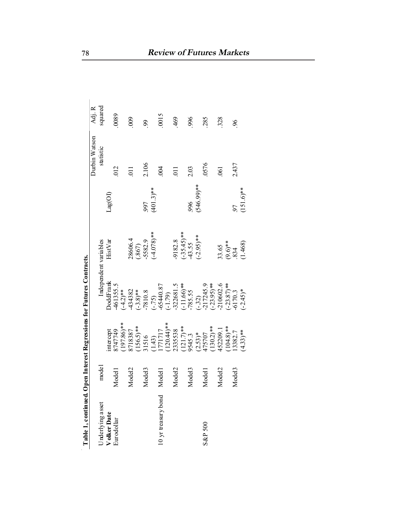|                     |                    |                                                                                  |                                                    |                               |                                | Durbin Watson   | Adj. R   |
|---------------------|--------------------|----------------------------------------------------------------------------------|----------------------------------------------------|-------------------------------|--------------------------------|-----------------|----------|
| Jnderlying asset    | model              |                                                                                  |                                                    | Independent variables         |                                | statistic       | squared  |
| Volker Date         |                    | intercept                                                                        | <b>DoddFrank</b>                                   | HistVar                       | $\text{Lag}(\text{O}\text{I})$ |                 |          |
| Eurodollar          | Model <sub>1</sub> | 8747749                                                                          |                                                    |                               |                                | 012             | 0089     |
|                     |                    | 197.86)**                                                                        | $461355.5$<br>$(-4.2)**$                           |                               |                                |                 |          |
|                     | Model <sub>2</sub> | 8718387                                                                          |                                                    | 28606.4                       |                                | $\overline{1}$  | 000      |
|                     |                    |                                                                                  |                                                    |                               |                                |                 |          |
|                     | Model <sub>3</sub> | $(156.5)$ **<br>31516                                                            | $-434382$<br>$(-3.8)**$<br>$-7810.8$               | $(.867)$<br>-5582.9           | 997                            | 2.106           | 99       |
|                     |                    |                                                                                  | $(-.75)$<br>-65440.87<br>-65440.87                 | $**$ (8/0+)                   | $(401.3)$ **                   |                 |          |
| 10 yr treasury bond | Model <sub>1</sub> |                                                                                  |                                                    |                               |                                | 004             | 0015     |
|                     |                    | $\frac{(1.43)}{1771717}$<br>1771717<br>(120.44)**                                |                                                    |                               |                                |                 |          |
|                     | Model <sub>2</sub> |                                                                                  | $-322681.5$<br>$(-11.66)$ **<br>-785.55            | 9182.8                        |                                | $\overline{11}$ | 469      |
|                     |                    |                                                                                  |                                                    |                               |                                |                 |          |
|                     | Model <sub>3</sub> |                                                                                  |                                                    | $(-35.45)$ **<br>43.55        | 996                            | 2.03            | 996      |
|                     |                    |                                                                                  |                                                    | $(-2.95)$ **                  | $(546.99)$ **                  |                 |          |
| S&P 500             | Model <sub>1</sub> |                                                                                  |                                                    |                               |                                | 0576            | 285      |
|                     |                    |                                                                                  |                                                    |                               |                                |                 |          |
|                     | Model <sub>2</sub> | 2335538<br>(121.7)**<br>9545.3<br>(2.53)*<br>(130.2)**<br>(130.209.1<br>452209.1 | $(-32)$<br>-217245.9<br>$(-23.95)$ **<br>-210602.6 |                               |                                | $-061$          | 328      |
|                     |                    |                                                                                  |                                                    |                               |                                |                 |          |
|                     | Model <sub>3</sub> | $(104.8)$ **<br>13382.7<br>(4.33)**                                              | $(-23.87)$ <sup>**</sup><br>-6170.3<br>(-2.45)*    | $33.65$<br>$(9.6)$ **<br>.834 |                                | 2.437           | $\delta$ |
|                     |                    |                                                                                  |                                                    | (1.468)                       | $(151.6)$ **                   |                 |          |

Table 1, continued. Open Interest Regressions for Futures Contracts.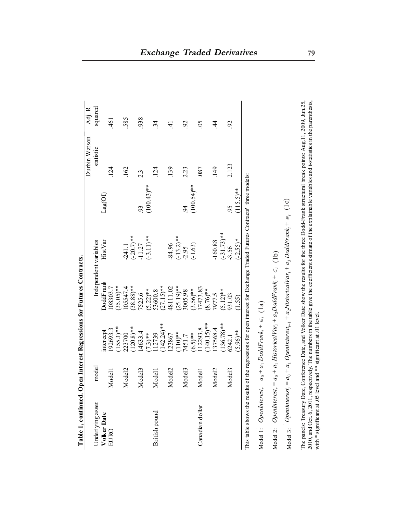| squared<br>585<br>938<br>.461<br>05<br>92<br>$\ddot{34}$<br>92<br>$\overline{4}$<br>$\vec{+}$<br>statistic<br>2.123<br>124<br>124<br>139<br>149<br>162<br>2.23<br>.087<br>2.3<br>$(100.43)$ **<br>$(100.54)$ **<br>$(115.5)$ **<br>Lag(OI)<br>95<br>93<br>$\overline{94}$<br>$(-31.73)$ **<br>$(-3.11)$ **<br>$(-13.2)$ **<br>$(-20.7)$ **<br>$(-2.55)*$<br>HistVar<br>$-160.88$<br>Independent variables<br>$-84.96$<br>$(-1.63)$<br>$-11.27$<br>$-241.1$<br>$-3.56$<br>$-2.95$<br>DoddFrank<br>$(35.05)$ **<br>$(38.88)$ **<br>$(27.15)$ **<br>$(25.19)$ **<br>48111.02<br>7473.83<br>105547.4<br>.08303.7<br>$(5.22)$ **<br>3005.98<br>$(3.56)$ **<br>$5.12$ <sup>**</sup><br>53600.8<br>$(8.76)$ **<br>7525.6<br>7977.5<br>931.03<br>(1.55)<br>$142.24$ <sup>**</sup><br>$140.15$ <sup>**</sup><br>$(136.78)$ **<br>$(155.3)$ **<br>$(120.8)$ **<br>12293.8<br>37568.4<br>192693.3<br>intercept<br>$(96)$ **<br>14633.4<br>$(110)**$<br>223700<br>12739<br>$(6.5)**$<br>$(7.3)**$<br>123867<br>7451.7<br>6242.1<br>model<br>Model <sub>2</sub><br>Model <sub>3</sub><br>Model <sub>2</sub><br>Model <sub>3</sub><br>Model <sub>2</sub><br>Model <sub>3</sub><br>Model1<br>Model <sub>1</sub><br>Model <sub>1</sub><br>Underlying asset<br>Canadian dollar<br>British pound<br>Volker Date<br>EURO | This table shows the results of the regressions for open interest for Exchange Traded Futures Contracts' three models:<br>Model 2: OpenInterest, = $a_0 + a_1$ HistoricalVar, + $a_2$ DoddFrank, + $\epsilon_t$ (1b)<br>Model 1: OpenInterest, = $a_0 + a_1$ DoddFrank, + $\epsilon_i$ (1a) |  |  |  | Durbin Watson | Adj. $R$ |
|-------------------------------------------------------------------------------------------------------------------------------------------------------------------------------------------------------------------------------------------------------------------------------------------------------------------------------------------------------------------------------------------------------------------------------------------------------------------------------------------------------------------------------------------------------------------------------------------------------------------------------------------------------------------------------------------------------------------------------------------------------------------------------------------------------------------------------------------------------------------------------------------------------------------------------------------------------------------------------------------------------------------------------------------------------------------------------------------------------------------------------------------------------------------------------------------------------------------------------------------------------------------------------------------------------|---------------------------------------------------------------------------------------------------------------------------------------------------------------------------------------------------------------------------------------------------------------------------------------------|--|--|--|---------------|----------|
|                                                                                                                                                                                                                                                                                                                                                                                                                                                                                                                                                                                                                                                                                                                                                                                                                                                                                                                                                                                                                                                                                                                                                                                                                                                                                                       |                                                                                                                                                                                                                                                                                             |  |  |  |               |          |
|                                                                                                                                                                                                                                                                                                                                                                                                                                                                                                                                                                                                                                                                                                                                                                                                                                                                                                                                                                                                                                                                                                                                                                                                                                                                                                       |                                                                                                                                                                                                                                                                                             |  |  |  |               |          |
|                                                                                                                                                                                                                                                                                                                                                                                                                                                                                                                                                                                                                                                                                                                                                                                                                                                                                                                                                                                                                                                                                                                                                                                                                                                                                                       |                                                                                                                                                                                                                                                                                             |  |  |  |               |          |
|                                                                                                                                                                                                                                                                                                                                                                                                                                                                                                                                                                                                                                                                                                                                                                                                                                                                                                                                                                                                                                                                                                                                                                                                                                                                                                       |                                                                                                                                                                                                                                                                                             |  |  |  |               |          |
|                                                                                                                                                                                                                                                                                                                                                                                                                                                                                                                                                                                                                                                                                                                                                                                                                                                                                                                                                                                                                                                                                                                                                                                                                                                                                                       |                                                                                                                                                                                                                                                                                             |  |  |  |               |          |
|                                                                                                                                                                                                                                                                                                                                                                                                                                                                                                                                                                                                                                                                                                                                                                                                                                                                                                                                                                                                                                                                                                                                                                                                                                                                                                       |                                                                                                                                                                                                                                                                                             |  |  |  |               |          |
|                                                                                                                                                                                                                                                                                                                                                                                                                                                                                                                                                                                                                                                                                                                                                                                                                                                                                                                                                                                                                                                                                                                                                                                                                                                                                                       |                                                                                                                                                                                                                                                                                             |  |  |  |               |          |
|                                                                                                                                                                                                                                                                                                                                                                                                                                                                                                                                                                                                                                                                                                                                                                                                                                                                                                                                                                                                                                                                                                                                                                                                                                                                                                       |                                                                                                                                                                                                                                                                                             |  |  |  |               |          |
|                                                                                                                                                                                                                                                                                                                                                                                                                                                                                                                                                                                                                                                                                                                                                                                                                                                                                                                                                                                                                                                                                                                                                                                                                                                                                                       |                                                                                                                                                                                                                                                                                             |  |  |  |               |          |
|                                                                                                                                                                                                                                                                                                                                                                                                                                                                                                                                                                                                                                                                                                                                                                                                                                                                                                                                                                                                                                                                                                                                                                                                                                                                                                       |                                                                                                                                                                                                                                                                                             |  |  |  |               |          |
|                                                                                                                                                                                                                                                                                                                                                                                                                                                                                                                                                                                                                                                                                                                                                                                                                                                                                                                                                                                                                                                                                                                                                                                                                                                                                                       |                                                                                                                                                                                                                                                                                             |  |  |  |               |          |
|                                                                                                                                                                                                                                                                                                                                                                                                                                                                                                                                                                                                                                                                                                                                                                                                                                                                                                                                                                                                                                                                                                                                                                                                                                                                                                       |                                                                                                                                                                                                                                                                                             |  |  |  |               |          |
|                                                                                                                                                                                                                                                                                                                                                                                                                                                                                                                                                                                                                                                                                                                                                                                                                                                                                                                                                                                                                                                                                                                                                                                                                                                                                                       |                                                                                                                                                                                                                                                                                             |  |  |  |               |          |
|                                                                                                                                                                                                                                                                                                                                                                                                                                                                                                                                                                                                                                                                                                                                                                                                                                                                                                                                                                                                                                                                                                                                                                                                                                                                                                       |                                                                                                                                                                                                                                                                                             |  |  |  |               |          |
|                                                                                                                                                                                                                                                                                                                                                                                                                                                                                                                                                                                                                                                                                                                                                                                                                                                                                                                                                                                                                                                                                                                                                                                                                                                                                                       |                                                                                                                                                                                                                                                                                             |  |  |  |               |          |
|                                                                                                                                                                                                                                                                                                                                                                                                                                                                                                                                                                                                                                                                                                                                                                                                                                                                                                                                                                                                                                                                                                                                                                                                                                                                                                       |                                                                                                                                                                                                                                                                                             |  |  |  |               |          |
|                                                                                                                                                                                                                                                                                                                                                                                                                                                                                                                                                                                                                                                                                                                                                                                                                                                                                                                                                                                                                                                                                                                                                                                                                                                                                                       |                                                                                                                                                                                                                                                                                             |  |  |  |               |          |
|                                                                                                                                                                                                                                                                                                                                                                                                                                                                                                                                                                                                                                                                                                                                                                                                                                                                                                                                                                                                                                                                                                                                                                                                                                                                                                       |                                                                                                                                                                                                                                                                                             |  |  |  |               |          |
|                                                                                                                                                                                                                                                                                                                                                                                                                                                                                                                                                                                                                                                                                                                                                                                                                                                                                                                                                                                                                                                                                                                                                                                                                                                                                                       |                                                                                                                                                                                                                                                                                             |  |  |  |               |          |
|                                                                                                                                                                                                                                                                                                                                                                                                                                                                                                                                                                                                                                                                                                                                                                                                                                                                                                                                                                                                                                                                                                                                                                                                                                                                                                       |                                                                                                                                                                                                                                                                                             |  |  |  |               |          |
|                                                                                                                                                                                                                                                                                                                                                                                                                                                                                                                                                                                                                                                                                                                                                                                                                                                                                                                                                                                                                                                                                                                                                                                                                                                                                                       |                                                                                                                                                                                                                                                                                             |  |  |  |               |          |
|                                                                                                                                                                                                                                                                                                                                                                                                                                                                                                                                                                                                                                                                                                                                                                                                                                                                                                                                                                                                                                                                                                                                                                                                                                                                                                       |                                                                                                                                                                                                                                                                                             |  |  |  |               |          |
|                                                                                                                                                                                                                                                                                                                                                                                                                                                                                                                                                                                                                                                                                                                                                                                                                                                                                                                                                                                                                                                                                                                                                                                                                                                                                                       | Model 3: OpenInterest, = $a_0 + a_1$ OpenInterest <sub>t-1</sub> + $a_2$ HistoricalVar <sub>t</sub> + $a_3$ DoddFrank <sub>t</sub> + $\epsilon$ <sub>t</sub> (1c)                                                                                                                           |  |  |  |               |          |

2010, and Oct. 6, 2011, respectively. The numbers in the table give the coefficient estimate of the explainable variables and t-statistics in the parenthesis,<br>with \* significant at .05 level and \*\* significant at .01 level 2010, and Oct. 6, 2011, respectively. The numbers in the table give the coefficient estimate of the explainable variables and t-statistics in the parenthesis, with \* significant at .05 level and \*\* significant at .01 level. Ę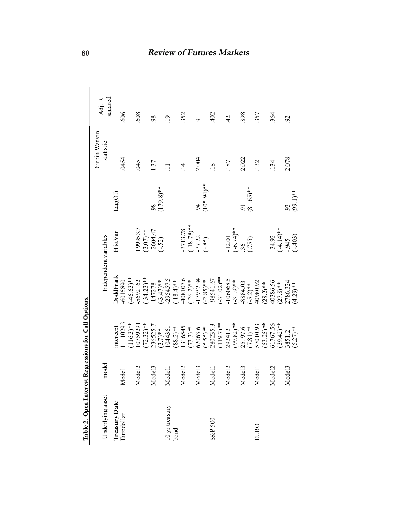| Underlying asset<br>Treasury Date |                                             |                       |                           |                                |                         |                 |                   |
|-----------------------------------|---------------------------------------------|-----------------------|---------------------------|--------------------------------|-------------------------|-----------------|-------------------|
|                                   |                                             |                       |                           |                                |                         | Durbin Watson   |                   |
|                                   | model                                       |                       |                           | Independent variables          |                         | statistic       | squared<br>Adj. R |
|                                   |                                             | <b>ntercept</b>       | <b>DoddFrank</b>          | HistVar                        | $\text{Lag}(\text{O1})$ |                 |                   |
| Eurodollar                        | llə<br>$_{\text{Mod}}$                      | 1110293               | -6015890                  |                                |                         | .0454           | ,606              |
|                                   |                                             | $116.3$ <sup>**</sup> | $(-46.63)$ **             |                                |                         |                 |                   |
|                                   | del2<br>$_{\text{Mod}}$                     | 0759291               | 5692162                   | 199953.7                       |                         | 045             | 809               |
|                                   |                                             | $72.32$ )**           | $(-34.23)$ **             | $(3.07)$ **<br>-2604.47        |                         |                 |                   |
|                                   | 1e <sub>13</sub><br>$\overline{\text{Mod}}$ | 236525.7              | 147278                    |                                | 98                      | 137             | 98                |
|                                   |                                             | $(3.7)$ **            | $(-3.47)$ **              | $(-.52)$                       | $(179.8)$ **            |                 |                   |
| 10 yr treasury                    | ΙeΙ<br>$\overline{\text{Mod}}$              | 044361                | 295457.5                  |                                |                         | $\Box$          | 19                |
| bond                              |                                             | $88.2$ )**            | $(-18.4)$ **              |                                |                         |                 |                   |
|                                   | Model2                                      | 316545                | 408107.6                  | $-3713.78$                     |                         | $\vec{=}$       | 352               |
|                                   |                                             | $73.3)$ **            | $(-26.2)$ **              | $(-18.78)$ **<br>-3722         |                         |                 |                   |
|                                   | Mode <sup>13</sup>                          | 62063.6               | 17932.94                  |                                |                         | 2.004           | $\overline{9}$    |
|                                   |                                             | $(5.55)$ **           |                           | $(-.85)$                       | $(105.94)$ **           |                 |                   |
| <b>S&amp;P 500</b>                | Modell                                      | 280235.3              | $(-2.85)$ **<br>-98541.67 |                                |                         | $\overline{18}$ | 402               |
|                                   |                                             | $(119.7)$ **          | $(-31.02)$ **             |                                |                         |                 |                   |
|                                   | Mode <sub>12</sub>                          | 292412                | 106068.5                  |                                |                         | 187             | $\frac{42}{3}$    |
|                                   |                                             | $(29.82)$ **          | $(-31.9)$ **              | $-12.01$<br>$(-6.74)**$<br>.36 |                         |                 |                   |
|                                   | le B<br>$_{\text{Mod}}$                     | 25197.6               | 8884.03                   |                                |                         | 2.022           | 898               |
|                                   |                                             | $(7.81)$ **           |                           | (755)                          | $(81.65)$ **            |                 |                   |
| EURO                              | Modell                                      | 57010.93              | $(-5.2)$ **<br>40980.92   |                                |                         | 132             | .357              |
|                                   |                                             | $(53.25)$ **          | $(28.2)$ **               |                                |                         |                 |                   |
|                                   | Mode <sub>12</sub>                          | 61767.56              | 40386.56                  | $-34.92$                       |                         | 134             | 364               |
|                                   |                                             | $(39.42)$ **          | $(27.8)$ **               | $(-4.14)$ **                   |                         |                 |                   |
|                                   | Mode <sup>13</sup>                          | 3851.2                | 2786.324                  | .945                           | 93                      | 2.078           | 92                |
|                                   |                                             | $(5.27)$ **           | $(4.29)$ **               | $(-.403)$                      | $(99.1)$ **             |                 |                   |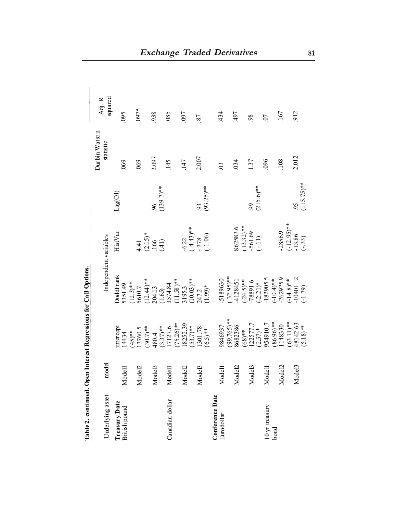|                                |                    | $-5 - 8$                                  |                                                                 |                                                            |                |                            |                     |
|--------------------------------|--------------------|-------------------------------------------|-----------------------------------------------------------------|------------------------------------------------------------|----------------|----------------------------|---------------------|
| Underlying asset               | model              |                                           | Independent variables                                           |                                                            |                | Durbin Watson<br>statistic | squared<br>$Adj. R$ |
|                                |                    |                                           |                                                                 |                                                            |                |                            |                     |
| Treasury Date<br>British pound | Modell             | ntercept<br>14434                         | <b>DoddFrank</b><br>5351.49                                     | $H$ ist $Var$                                              | Lag(OI)        | 069                        | 095                 |
|                                |                    | $**(5)$                                   | $(12.3)$ **<br>5610.7<br>(12.44)**                              |                                                            |                |                            |                     |
|                                | Model2             |                                           |                                                                 |                                                            |                | 069                        | 0975                |
|                                |                    | $13760.5$<br>$(30.7)$ **                  |                                                                 | $4.41$<br>$(2.15)*$<br>$166$<br>$(41)$                     |                |                            |                     |
|                                | Mode <sub>13</sub> |                                           |                                                                 |                                                            | 96             | 2.097                      | 938                 |
|                                |                    |                                           |                                                                 |                                                            | $(139.7)$ **   |                            |                     |
| Canadian dollar                | Modell             |                                           |                                                                 |                                                            |                | 145                        | .085                |
|                                |                    | 480.4<br>(3.37)**<br>17127.6<br>(75.26)** | 204.13<br>(1.65)<br>3574.84<br>3195.3<br>(10.03)**<br>(10.03)** |                                                            |                |                            |                     |
|                                | Model2             | 18252.39                                  |                                                                 |                                                            |                | 147                        | 097                 |
|                                |                    | $(53.7)$ **                               |                                                                 |                                                            |                |                            |                     |
|                                | Mode <sub>13</sub> | 1301.78                                   |                                                                 |                                                            | 93             | 2.007                      | 87                  |
|                                |                    | $(6.5)$ **                                | $(1.99)*$                                                       | $-6.22$<br>$(-4.43)$ <sup>**</sup><br>$-3.78$<br>$(-1.06)$ | $(93.25)$ **   |                            |                     |
| Conference Date                |                    |                                           |                                                                 |                                                            |                |                            |                     |
| Eurodollar                     | Modell             | 9846937                                   | 5189630                                                         |                                                            |                | $\mathfrak{S}$             | 434                 |
|                                |                    | $(99.765)**$                              | $(-32.95)$ **<br>4128451                                        |                                                            |                |                            |                     |
|                                | Mode <sub>12</sub> | 8682386                                   |                                                                 | $862583.6$ $(13.32)**$ $-561.69$ $(-11)$                   |                | 034                        | .497                |
|                                |                    | $(68)$ **                                 | $(-24.5)$ <sup>**</sup><br>-78891.6<br>-2.21)*                  |                                                            |                |                            |                     |
|                                | Mode <sup>13</sup> |                                           |                                                                 |                                                            | $\overline{6}$ | 1.37                       | 98                  |
|                                |                    | $122577.7$<br>$(2.57)*$                   |                                                                 |                                                            | $(215.6)$ **   |                            |                     |
| 10 yr treasury                 | Modell             | 954910.7                                  | $-182905.5$                                                     |                                                            |                | 096                        | $\overline{0}$      |
| bond                           |                    | 86.96)**                                  |                                                                 |                                                            |                |                            |                     |
|                                | Model2             | 148330                                    | $(-10.4)$ **<br>-262925.9                                       | $-2856.9$                                                  |                | 108                        | .167                |
|                                |                    | $(63.11)$ **                              | $(-14.8)$ **<br>-10401.12                                       |                                                            |                |                            |                     |
|                                | Mode <sup>13</sup> | 18142.63                                  |                                                                 | $(-12.95)$ **<br>-13.86<br>(-.33)                          | 95             | 2.012                      | 912                 |
|                                |                    | $(5.18)$ **                               | $(-1.79)$                                                       |                                                            | $(115.75)$ **  |                            |                     |

Table 2, continued. Open Interest Regressions for Call Options. **Table 2, continued. Open Interest Regressions for Call Options.**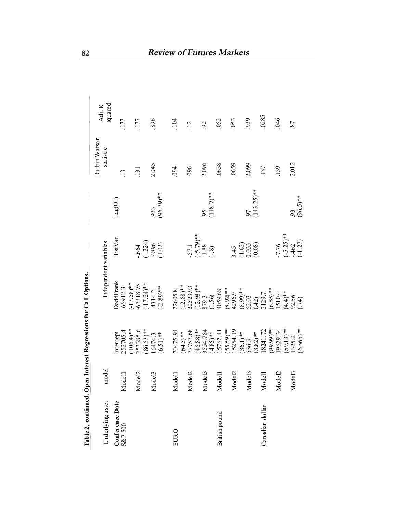| Table 2, continued. Open Interest Regressions for Call Options. |                        |                          |                                                                                                                                                |                                                |                          |               |                |
|-----------------------------------------------------------------|------------------------|--------------------------|------------------------------------------------------------------------------------------------------------------------------------------------|------------------------------------------------|--------------------------|---------------|----------------|
|                                                                 |                        |                          |                                                                                                                                                |                                                |                          | Durbin Watson | Adj. R         |
| Underlying asset                                                | model                  |                          |                                                                                                                                                | Independent variables                          |                          | statistic     | squared        |
| Conference Date                                                 |                        | nter cept                | <b>DoddFrank</b>                                                                                                                               | HistVar                                        | Lag(OI)                  |               |                |
| S&P 500                                                         | Modell                 | 252705.4                 | $-66912.3$<br>$(-17.58)**$<br>$-67318.75$                                                                                                      |                                                |                          | 13            | .177           |
|                                                                 |                        | $(106.4)$ **<br>253385.6 |                                                                                                                                                |                                                |                          |               |                |
|                                                                 | Model2                 |                          |                                                                                                                                                | .664                                           |                          | 131           | 177            |
|                                                                 |                        | $86.53$ <sup>**</sup>    |                                                                                                                                                |                                                |                          |               |                |
|                                                                 | Mode <sup>13</sup>     | 16474.3                  |                                                                                                                                                |                                                | 933                      | 2.045         | 896            |
|                                                                 |                        | $(6.51)$ **              | $(-17.24)*$<br>-4314.2<br>(-2.89)**                                                                                                            | $(-324)$<br>$(4896)$<br>$(1.02)$               | $(96.39)$ **             |               |                |
| EURO                                                            | Modell                 | 70475.94                 | 22605.8                                                                                                                                        |                                                |                          | 094           | 104            |
|                                                                 |                        | $(64.5)$ **              |                                                                                                                                                |                                                |                          |               |                |
|                                                                 | Mode <sub>12</sub>     | 7757.68                  | $(12.88)$ **<br>22523.93                                                                                                                       | 57.1                                           |                          | 096           | $\overline{c}$ |
|                                                                 |                        |                          | $(12.98)**$<br>879.3                                                                                                                           |                                                |                          |               |                |
|                                                                 | e <sub>13</sub><br>Mod | $(46.88)$ **<br>3554.784 |                                                                                                                                                |                                                | $^{95}$<br>(118.7)**     | 2.096         | $\mathcal{S}$  |
|                                                                 |                        | $(4.85)$ **              | (1.56)                                                                                                                                         | $(-5.79)$ **<br>-1.88<br>(-.8)                 |                          |               |                |
| British pound                                                   | $\overline{5}$<br>Mod  | 5762.41                  | 4059.68                                                                                                                                        |                                                |                          | .0658         | .052           |
|                                                                 |                        | $(55.59)$ **<br>15254.19 |                                                                                                                                                |                                                |                          |               |                |
|                                                                 | e2<br>Mod              |                          |                                                                                                                                                |                                                |                          | 0659          | 053            |
|                                                                 |                        | $(36.1)$ **<br>536.5     |                                                                                                                                                | $3.45$<br>$(1.62)$<br>$0.033$<br>$(0.08)$      |                          |               |                |
|                                                                 | le13<br>Mod            |                          |                                                                                                                                                |                                                | $\frac{97}{(143.25)***}$ | 2.099         | 939            |
|                                                                 |                        | $(3.82)$ **              |                                                                                                                                                |                                                |                          |               |                |
| Canadian dollar                                                 | $\Xi$<br>Mod           | 8241.72                  |                                                                                                                                                |                                                |                          | 137           | .0285          |
|                                                                 |                        | 89.99)**                 |                                                                                                                                                |                                                |                          |               |                |
|                                                                 | el2<br>Mod             | 9629.34                  | $(8.92)*$<br>$(8.99)*$<br>$(8.99)*$<br>$(8.99)*$<br>$(1.207)\n(1.2125)\n(1.314)\n(1.41)*\n(1.41)*\n(1.41)*\n(1.526)\n(1.41)*\n(1.426)\n(1.41)$ | $-7.76$<br>$(-5.25)$ **<br>$-462$<br>$(-1.27)$ |                          | 139           | 946            |
|                                                                 |                        | $59.13$ <sup>**</sup>    |                                                                                                                                                |                                                |                          |               |                |
|                                                                 | Mode <sup>13</sup>     | 1325.2                   |                                                                                                                                                |                                                | 93                       | 2.012         | 87             |
|                                                                 |                        | $(6.565)$ **             |                                                                                                                                                |                                                | $(96.5)$ **              |               |                |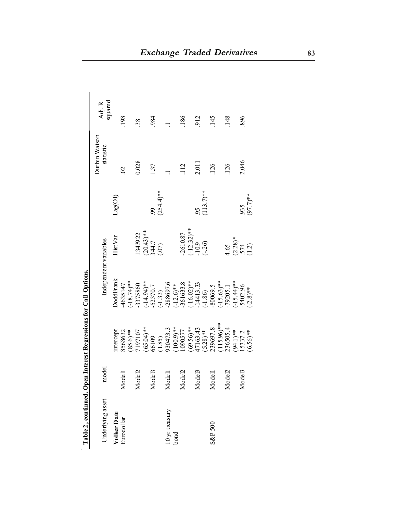| Table 2, continued. Op |                    |                                                                   | en Interest Regressions for Call Options.         |                                          |                      |                            |                   |
|------------------------|--------------------|-------------------------------------------------------------------|---------------------------------------------------|------------------------------------------|----------------------|----------------------------|-------------------|
| Underlying asset       | model              |                                                                   |                                                   | Independent variables                    |                      | Durbin Watson<br>statistic | squared<br>Adj. R |
| Volker Date            |                    | ntercept                                                          | <b>oddFrank</b>                                   | <b>HistVar</b>                           | Lag(OI)              |                            |                   |
| Eurodollar             | Modell             |                                                                   |                                                   |                                          |                      | $\overline{S}$             | 198               |
|                        |                    |                                                                   | $-4635147$<br>$(-18.74)$ **                       |                                          |                      |                            |                   |
|                        | Model2             | 8568632<br>(85.6)**<br>7197107                                    | 3375860                                           | 1343922                                  |                      | 0.028                      | 38                |
|                        |                    |                                                                   |                                                   |                                          |                      |                            |                   |
|                        | Mode <sup>13</sup> |                                                                   |                                                   |                                          | 99                   | 137                        | 984               |
|                        |                    |                                                                   |                                                   | $(20.43)**$<br>344.7<br>(.07)            | $(254.4)$ **         |                            |                   |
| 10 yr treasury         | Modell             | $(65.04)$ **<br>66109<br>(1.85)<br>(1.85)<br>930473.3<br>(1000577 | $(-14.94)$ **<br>-52370.7<br>(-1.33)<br>-288697.6 |                                          |                      |                            |                   |
| bond                   |                    |                                                                   |                                                   |                                          |                      |                            |                   |
|                        | Model2             |                                                                   | $(-12.6)$ **<br>-361633.8                         | 2610.87                                  |                      | 112                        | 186               |
|                        |                    | $(69.56)$ **<br>47163.43<br>(5.28)**                              |                                                   | $(-12.32)$ **<br>-10.9<br>(-.26)         |                      |                            |                   |
|                        | Model3             |                                                                   |                                                   |                                          |                      | 2.011                      | 912               |
|                        |                    |                                                                   |                                                   |                                          | $^{95}$<br>(113.7)** |                            |                   |
| <b>S&amp;P 500</b>     | Modell             | 239697.8                                                          | $(-16.02)*$<br>-14413.33<br>(-1.86)<br>-80069.5   |                                          |                      | 126                        | 145               |
|                        |                    |                                                                   | $(-15.63)$ **<br>-79205.1                         |                                          |                      |                            |                   |
|                        | Model2             | $(115.96)$ **<br>236505.4<br>(94.1)**<br>15337.2<br>15337.2       |                                                   |                                          |                      | 126                        | 148               |
|                        |                    |                                                                   |                                                   |                                          |                      |                            |                   |
|                        | Mode <sup>13</sup> |                                                                   | $(-15.44)*$<br>$-5402.96$<br>$(-2.8)**$           | $4.65$<br>$(2.28)*$<br>$.574$<br>$(1.2)$ | 935                  | 2.046                      | 896               |
|                        |                    |                                                                   |                                                   |                                          | $(97.7)$ **          |                            |                   |

| i<br>S<br>l<br>$\zeta$<br>i.            |
|-----------------------------------------|
| ľ                                       |
| $\vdots$<br>č                           |
| $\sim$ $\sim$ $\sim$ $\sim$ $\sim$<br>0 |
|                                         |
| $\sim$                                  |
| $\frac{1}{2}$                           |
|                                         |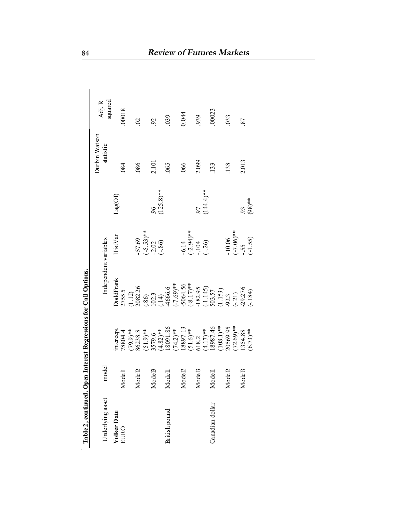| Table 2, continued. Open Interest Regressions for Call Options. |                    |                                                                                                                      |                                                                                                                             |                                                           |                         |               |                   |
|-----------------------------------------------------------------|--------------------|----------------------------------------------------------------------------------------------------------------------|-----------------------------------------------------------------------------------------------------------------------------|-----------------------------------------------------------|-------------------------|---------------|-------------------|
|                                                                 |                    |                                                                                                                      |                                                                                                                             |                                                           |                         | Durbin Watson | Adj. R<br>squared |
| Underlying asset                                                | model              |                                                                                                                      |                                                                                                                             | Independent variables                                     |                         | statistic     |                   |
| Volker Date<br>EURO                                             |                    |                                                                                                                      | <b>JoddFrank</b>                                                                                                            | $\rm{H}$ ist<br>Var                                       | Lag(OI)                 |               |                   |
|                                                                 | Modell             | intercept<br>78804.4                                                                                                 |                                                                                                                             |                                                           |                         | 084           | 00018             |
|                                                                 |                    |                                                                                                                      |                                                                                                                             |                                                           |                         |               |                   |
|                                                                 | Mode <sub>12</sub> |                                                                                                                      |                                                                                                                             |                                                           |                         | 086           | $\mathcal{S}$     |
|                                                                 |                    |                                                                                                                      |                                                                                                                             | $-57.69$<br>$(-5.53)**$<br>$-2.02$<br>$(-86)$             |                         |               |                   |
|                                                                 | Mode <sup>13</sup> |                                                                                                                      |                                                                                                                             |                                                           |                         | 2.101         | $\mathfrak{S}$    |
|                                                                 |                    |                                                                                                                      |                                                                                                                             |                                                           | $\frac{96}{(125.8)**}$  |               |                   |
| British pound                                                   | Modell             |                                                                                                                      |                                                                                                                             |                                                           |                         | 065           | 039               |
|                                                                 |                    |                                                                                                                      |                                                                                                                             |                                                           |                         |               |                   |
|                                                                 | Mode <sub>L</sub>  |                                                                                                                      |                                                                                                                             |                                                           |                         | 066           | 0.044             |
|                                                                 |                    |                                                                                                                      |                                                                                                                             | $-6.14$<br>$(-2.94)***$<br>$-104$<br>$(-.26)$             |                         |               |                   |
|                                                                 | Mode <sup>13</sup> |                                                                                                                      |                                                                                                                             |                                                           |                         | 2.099         | 939               |
|                                                                 |                    |                                                                                                                      |                                                                                                                             |                                                           | $\frac{97}{(144.4)***}$ |               |                   |
| Canadian dollar                                                 | Modell             |                                                                                                                      |                                                                                                                             |                                                           |                         | 133           | .00023            |
|                                                                 |                    | $(79.9)$ **<br>86238.8<br>86238.8<br>9579.6<br>3579.4<br>3691.897.13<br>18887.13<br>18887.44<br>18887.44<br>18887.44 | 2755.5<br>112)<br>102326<br>2023<br>2033 5<br>20335<br>2023<br>2023<br>2023<br>2023<br>2023<br>2023<br>2023<br>2023<br>2023 |                                                           |                         |               |                   |
|                                                                 | Mode <sub>12</sub> |                                                                                                                      |                                                                                                                             |                                                           |                         | 138           | 033               |
|                                                                 |                    | 20569.95<br>(72.69)**                                                                                                |                                                                                                                             | $-10.06$<br>$(-7.06)$ <sup>**</sup><br>$-55$<br>$(-1.55)$ |                         |               |                   |
|                                                                 | Mode <sup>13</sup> | $1354.88$<br>(6.73)**                                                                                                |                                                                                                                             |                                                           |                         | 2.013         | 87                |
|                                                                 |                    |                                                                                                                      |                                                                                                                             |                                                           | $(98)***$               |               |                   |

Table 2, continued. Open Interest Regressions for Call Options.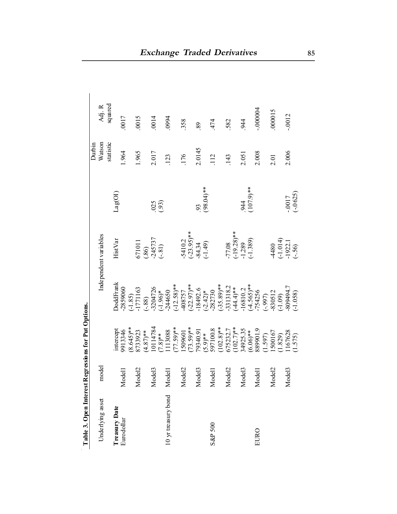|                     |                              |                                                                            |                                                                                                                                                                            |                                                     |                         | Durbin    |           |
|---------------------|------------------------------|----------------------------------------------------------------------------|----------------------------------------------------------------------------------------------------------------------------------------------------------------------------|-----------------------------------------------------|-------------------------|-----------|-----------|
| Underlying asset    | model                        |                                                                            |                                                                                                                                                                            | Independent variables                               |                         | Watson    | Adj. R    |
|                     |                              |                                                                            |                                                                                                                                                                            |                                                     |                         | statistic | squared   |
| Treasury Date       |                              | ntercept                                                                   | <b>DoddFrank</b>                                                                                                                                                           | HistVar                                             | Lag(OI)                 |           |           |
| Euro dollar         | <b>Lodel</b><br>⋝            | 9913346                                                                    | 2859060                                                                                                                                                                    |                                                     |                         | 1.964     | 0017      |
|                     |                              | $(8.645)$ **                                                               |                                                                                                                                                                            |                                                     |                         |           |           |
|                     | Iodel <sub>2</sub><br>⋝      |                                                                            | $\frac{(-1.85)}{-1771163}$                                                                                                                                                 |                                                     |                         | 1.965     | 0015      |
|                     |                              | $(4.873923\n(4.87)**\n10114784\n(7.8)**\n(113088$                          |                                                                                                                                                                            | $671011$<br>$(86)$<br>$-245737$<br>$(-81)$          |                         |           |           |
|                     | lodel3<br>⋝                  |                                                                            | $(-.88)$<br>-3204726<br>(-1.96)*<br>-244650                                                                                                                                |                                                     | (93)                    | 2.017     | 0014      |
|                     |                              |                                                                            |                                                                                                                                                                            |                                                     |                         |           |           |
| 10 yr treasury bond | <b>Lodel</b><br>$\mathsf{z}$ |                                                                            |                                                                                                                                                                            |                                                     |                         | 123       | 0994      |
|                     |                              | $(77.59)$ **                                                               |                                                                                                                                                                            |                                                     |                         |           |           |
|                     | Iodel <sub>2</sub><br>⋝      |                                                                            |                                                                                                                                                                            |                                                     |                         | 176       | 358       |
|                     |                              | 1509601<br>(73.59)**                                                       | $(-12.58)$ **<br>408757<br>(-22.97)**                                                                                                                                      | $-5410.2$<br>$(-23.95)$ **<br>$-84.34$<br>$(-1.49)$ |                         |           |           |
|                     | lodel <sub>3</sub><br>⋝      |                                                                            |                                                                                                                                                                            |                                                     |                         | 2.0145    | 89        |
|                     |                              |                                                                            |                                                                                                                                                                            |                                                     | $.93$<br>(98.04)**      |           |           |
| S&P 500             | Iodel I<br>⋝                 | $79340.91$<br>$(5.9)**$<br>$597100.8$                                      |                                                                                                                                                                            |                                                     |                         | 112       | 474       |
|                     |                              | $(102.8)$ **<br>675232.7<br>0102.7)**<br>(102.7)**<br>34925.35<br>(6.06)** |                                                                                                                                                                            |                                                     |                         |           |           |
|                     | 1odel2<br>⋝                  |                                                                            |                                                                                                                                                                            |                                                     |                         | 143       | 582       |
|                     |                              |                                                                            |                                                                                                                                                                            | $-77.08$<br>$(-19.28)**$<br>$-1.289$<br>$(-1.389)$  |                         |           |           |
|                     | Iodel <sub>3</sub><br>⋝      |                                                                            |                                                                                                                                                                            |                                                     |                         | 2.051     | 944       |
|                     |                              |                                                                            |                                                                                                                                                                            |                                                     | $.944$<br>(107.9)**     |           |           |
| EURO                | Iodel I<br>⋝                 |                                                                            |                                                                                                                                                                            |                                                     |                         | 2.008     | $-000000$ |
|                     |                              | (1.597)                                                                    |                                                                                                                                                                            |                                                     |                         |           |           |
|                     | lodel2<br>⋝                  | 1500167                                                                    |                                                                                                                                                                            |                                                     |                         | 2.01      | 000015    |
|                     |                              | (1.829)                                                                    |                                                                                                                                                                            |                                                     |                         |           |           |
|                     | Iodel3<br>⋝                  | i167628<br>(1.575)                                                         | $-18492.6$<br>$(2.42)*$<br>$(2.42)*$<br>$282730$<br>$(35.89)**$<br>$(44.4)**$<br>$-16810.2$<br>$(4.565)*$<br>$(4.565)*$<br>$(1.09)$<br>$(0.109)$<br>$(0.109)$<br>$(0.105)$ | $4480$<br>$(-1.014)$<br>$-1922.1$<br>$(-56)$        | $-0.017$<br>$(-0.0625)$ | 2.006     | $-0.0012$ |
|                     |                              |                                                                            |                                                                                                                                                                            |                                                     |                         |           |           |

Table 3. Open Interest Regressions for Put Options. **Table 3. Open Interest Regressions for Put Options.**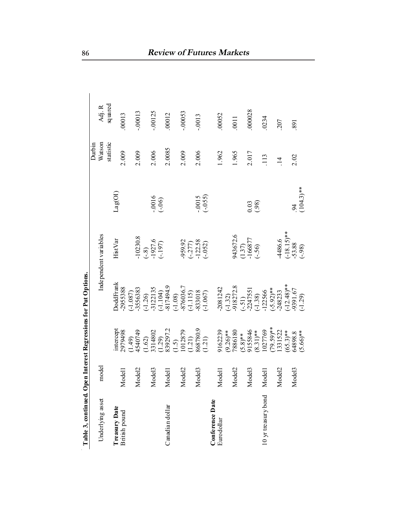| Table 3, continued. Open Interest Regressions for Put Options. |                             |                                                                                                                                                                          |                                                                                                                                                                                                                                                                                                                 |                                                            |                                      |                |            |
|----------------------------------------------------------------|-----------------------------|--------------------------------------------------------------------------------------------------------------------------------------------------------------------------|-----------------------------------------------------------------------------------------------------------------------------------------------------------------------------------------------------------------------------------------------------------------------------------------------------------------|------------------------------------------------------------|--------------------------------------|----------------|------------|
|                                                                |                             |                                                                                                                                                                          |                                                                                                                                                                                                                                                                                                                 |                                                            |                                      | Durbin         |            |
| Underlying asset                                               | model                       |                                                                                                                                                                          |                                                                                                                                                                                                                                                                                                                 | Independent variables                                      |                                      | Watson         | Adj. R     |
|                                                                |                             |                                                                                                                                                                          |                                                                                                                                                                                                                                                                                                                 |                                                            |                                      | statistic      | squared    |
| Treasury Date                                                  |                             |                                                                                                                                                                          | DoddFrank                                                                                                                                                                                                                                                                                                       | HistVar                                                    | $\mathtt{Lag}(\mathrm{O}\mathrm{I})$ |                |            |
| British pound                                                  | odel <sub>1</sub><br>Ź      | intercept<br>2979498                                                                                                                                                     | 2955388                                                                                                                                                                                                                                                                                                         |                                                            |                                      | 2.009          | .00013     |
|                                                                |                             |                                                                                                                                                                          |                                                                                                                                                                                                                                                                                                                 |                                                            |                                      |                |            |
|                                                                | Model <sub>2</sub>          |                                                                                                                                                                          |                                                                                                                                                                                                                                                                                                                 | 10230.8                                                    |                                      | 2.009          | $-00013$   |
|                                                                |                             |                                                                                                                                                                          |                                                                                                                                                                                                                                                                                                                 | $(-8)$<br>-1927.6<br>(-.197)                               |                                      |                |            |
|                                                                | Model <sub>3</sub>          |                                                                                                                                                                          |                                                                                                                                                                                                                                                                                                                 |                                                            | $(000 -$                             | 2.006          | $-0.00125$ |
|                                                                |                             |                                                                                                                                                                          |                                                                                                                                                                                                                                                                                                                 |                                                            |                                      |                |            |
| Canadian dollar                                                | odel<br>Ź                   |                                                                                                                                                                          |                                                                                                                                                                                                                                                                                                                 |                                                            |                                      | 2.0085         | .00012     |
|                                                                |                             |                                                                                                                                                                          |                                                                                                                                                                                                                                                                                                                 |                                                            |                                      |                |            |
|                                                                | Model <sub>2</sub>          |                                                                                                                                                                          |                                                                                                                                                                                                                                                                                                                 |                                                            |                                      | 2.009          | $-00053$   |
|                                                                |                             | $(1.49)$ $(1.62)$ $(1.62)$ $(1.63)$ $(1.29)$ $(1.29)$ $(1.5)$ $(1.5)$ $(1.12)$ $(1.23)$ $(1.23)$ $(1.24)$ $(1.25)$ $(1.25)$ $(1.26)$ $(1.27)$ $(1.28)$ $(1.29)$ $(1.21)$ | $\begin{array}{l} (-1.087) \\ -355633 \\ -312135 \\ -1.26) \\ (-1.26) \\ -1124135 \\ -11041 \\ -1.104949 \\ -1.08) \\ -1.150 \\ -1.150 \\ -1.0870367 \\ -1.0970367 \\ -1.097018 \\ -1.097018 \\ -1.097018 \\ -1.097018 \\ -1.097018 \\ -1.097018 \\ -1.097018 \\ -1.097018 \\ -1.097018 \\ -1.097018 \\ -1.097$ | -959.92<br>(-.277)<br>122.58<br>(-.052)                    |                                      |                |            |
|                                                                | Model <sub>3</sub>          |                                                                                                                                                                          |                                                                                                                                                                                                                                                                                                                 |                                                            |                                      | 2.006          | $-0013$    |
|                                                                |                             |                                                                                                                                                                          |                                                                                                                                                                                                                                                                                                                 |                                                            | $-0.015$<br>$(-0.055)$               |                |            |
| Conference Date                                                |                             |                                                                                                                                                                          |                                                                                                                                                                                                                                                                                                                 |                                                            |                                      |                |            |
| Euro dollar                                                    | Model1                      | 9162239                                                                                                                                                                  | $-2081242$                                                                                                                                                                                                                                                                                                      |                                                            |                                      | 1.962          | .00052     |
|                                                                |                             |                                                                                                                                                                          |                                                                                                                                                                                                                                                                                                                 |                                                            |                                      |                |            |
|                                                                | lodel <sub>2</sub><br>Σ     | $(9.26)$ **<br>7886180                                                                                                                                                   |                                                                                                                                                                                                                                                                                                                 | 943672.6                                                   |                                      | 1.965          | .0011      |
|                                                                |                             |                                                                                                                                                                          |                                                                                                                                                                                                                                                                                                                 | $\begin{array}{c} (1.37) \\ -166877 \\ (-.56) \end{array}$ |                                      |                |            |
|                                                                | odel <sub>3</sub><br>Ž      |                                                                                                                                                                          |                                                                                                                                                                                                                                                                                                                 |                                                            | (38)                                 | 2.017          | .000028    |
|                                                                |                             |                                                                                                                                                                          |                                                                                                                                                                                                                                                                                                                 |                                                            |                                      |                |            |
| 10 yr treasury bond                                            | $\overline{\text{ed}}$<br>Ź | $(5.8)*$<br>9155846<br>$(8.31)**$<br>$(8.31)**$                                                                                                                          | $(-1.32)$<br>$-918272.8$<br>$(-51)$<br>$(-2247551$<br>$(-1.38)$<br>$(-5.92)*$<br>$(-5.92)*$<br>$(-5.9233)$                                                                                                                                                                                                      |                                                            |                                      | 113            | 0234       |
|                                                                |                             |                                                                                                                                                                          |                                                                                                                                                                                                                                                                                                                 |                                                            |                                      |                |            |
|                                                                | lodel <sub>2</sub><br>Ž     | $(79.59)**$<br>1331522                                                                                                                                                   |                                                                                                                                                                                                                                                                                                                 | 4486.6                                                     |                                      | $\frac{14}{1}$ | 207        |
|                                                                |                             |                                                                                                                                                                          |                                                                                                                                                                                                                                                                                                                 |                                                            |                                      |                |            |
|                                                                | Model <sub>3</sub>          |                                                                                                                                                                          |                                                                                                                                                                                                                                                                                                                 |                                                            | 94                                   | 2.02           | 891        |
|                                                                |                             | $(65.3)**$<br>64898.8<br>(5.66)**                                                                                                                                        | $\begin{array}{l} (-12.48) \text{*} \\ -9391.67 \\ (-1.29) \end{array}$                                                                                                                                                                                                                                         | $(-18.15)$ **<br>-53.88<br>(-.98)                          | $(104.3)$ **                         |                |            |

Table 3, continued. Open Interest Regressions for Put Options.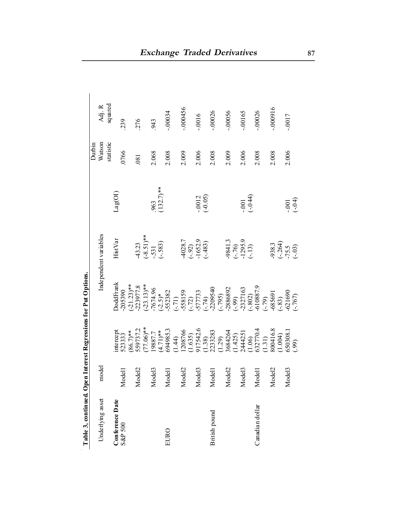|                      |                    |                                                                                                                                                                                                                                                                              |                                                                                                                                                                                   |                                                |                       | Durbin    |            |
|----------------------|--------------------|------------------------------------------------------------------------------------------------------------------------------------------------------------------------------------------------------------------------------------------------------------------------------|-----------------------------------------------------------------------------------------------------------------------------------------------------------------------------------|------------------------------------------------|-----------------------|-----------|------------|
| Underlying asset     | model              |                                                                                                                                                                                                                                                                              |                                                                                                                                                                                   | Independent variables                          |                       | Watson    | Adj. R     |
|                      |                    |                                                                                                                                                                                                                                                                              |                                                                                                                                                                                   |                                                |                       | statistic | squared    |
| Conference Date      |                    |                                                                                                                                                                                                                                                                              | <b>DoddFrank</b>                                                                                                                                                                  | HistVar                                        | Lag(OI)               |           |            |
| S&P 500              | Model <sub>1</sub> | intercept<br>523333                                                                                                                                                                                                                                                          |                                                                                                                                                                                   |                                                |                       | 0766      | 239        |
|                      |                    |                                                                                                                                                                                                                                                                              |                                                                                                                                                                                   |                                                |                       |           |            |
|                      | Model <sub>2</sub> |                                                                                                                                                                                                                                                                              |                                                                                                                                                                                   |                                                |                       | 081       | 276        |
|                      |                    | $(86.7) *$<br>$(77.06) *$<br>$(77.06) *$<br>$(4.7) *$<br>$(694985.3$<br>$(1.44)$<br>$(1.635)$<br>$(1.635)$<br>$(1.38)$<br>$(1.38)$<br>$(1.29)$<br>$(1.425)$<br>$(1.425)$<br>$(1.31)$<br>$(1.31)$<br>$(1.31)$<br>$(1.31)$<br>$(1.31)$<br>$(1.31)$<br>$(1.31)$<br>$(1.30)$<br> | 205390<br>21.23377.8<br>22.3977.8<br>22.3977.8<br>23.382<br>55.382<br>57.77332<br>57.77332<br>57.8020<br>23.27163<br>23.590<br>23.590<br>23.7163<br>23.590<br>23.7163<br>23.88591 | $-43.23$<br>$(-8.51)***$<br>$-531$<br>$(-583)$ |                       |           |            |
|                      | Model <sub>3</sub> |                                                                                                                                                                                                                                                                              |                                                                                                                                                                                   |                                                |                       | 2.068     | 943        |
|                      |                    |                                                                                                                                                                                                                                                                              |                                                                                                                                                                                   |                                                | $.963$<br>(132.7)**   |           |            |
| EURO                 | Model <sup>1</sup> |                                                                                                                                                                                                                                                                              |                                                                                                                                                                                   |                                                |                       | 2.008     | $-00034$   |
|                      |                    |                                                                                                                                                                                                                                                                              |                                                                                                                                                                                   |                                                |                       |           |            |
|                      | Model <sub>2</sub> |                                                                                                                                                                                                                                                                              |                                                                                                                                                                                   |                                                |                       | 2.009     | $-000456$  |
|                      |                    |                                                                                                                                                                                                                                                                              |                                                                                                                                                                                   |                                                |                       |           |            |
|                      | Model <sub>3</sub> |                                                                                                                                                                                                                                                                              |                                                                                                                                                                                   | 4028.7<br>(-.92)<br>-1652.9<br>(-.483)         | $-0.012$<br>$(-0.05)$ | 2.006     | $-0016$    |
|                      |                    |                                                                                                                                                                                                                                                                              |                                                                                                                                                                                   |                                                |                       |           |            |
| <b>British pound</b> | Model <sub>1</sub> |                                                                                                                                                                                                                                                                              |                                                                                                                                                                                   |                                                |                       | 2.008     | $-00026$   |
|                      |                    |                                                                                                                                                                                                                                                                              |                                                                                                                                                                                   |                                                |                       |           |            |
|                      | Model <sub>2</sub> |                                                                                                                                                                                                                                                                              |                                                                                                                                                                                   |                                                |                       | 2.009     | $-00056$   |
|                      |                    |                                                                                                                                                                                                                                                                              |                                                                                                                                                                                   |                                                |                       |           |            |
|                      | Model <sub>3</sub> |                                                                                                                                                                                                                                                                              |                                                                                                                                                                                   | $-9841.3$<br>$(-.76)$<br>$-1295.9$<br>$(-.13)$ | $(-0.01)$             | 2.006     | $-0.00165$ |
|                      |                    |                                                                                                                                                                                                                                                                              |                                                                                                                                                                                   |                                                |                       |           |            |
| Canadian dollar      | Model              |                                                                                                                                                                                                                                                                              |                                                                                                                                                                                   |                                                |                       | 2.008     | $-00026$   |
|                      |                    |                                                                                                                                                                                                                                                                              |                                                                                                                                                                                   |                                                |                       |           |            |
|                      | Model <sub>2</sub> |                                                                                                                                                                                                                                                                              |                                                                                                                                                                                   |                                                |                       | 2.008     | $-000916$  |
|                      |                    |                                                                                                                                                                                                                                                                              |                                                                                                                                                                                   | -938.3<br>(-.264)<br>-75.5<br>(-.03)           |                       |           |            |
|                      | Model3             |                                                                                                                                                                                                                                                                              |                                                                                                                                                                                   |                                                | $-0.01$<br>$(-0.04)$  | 2.006     | $-0017$    |
|                      |                    |                                                                                                                                                                                                                                                                              |                                                                                                                                                                                   |                                                |                       |           |            |

Table 3, continued. Open Interest Regressions for Put Options. **Table 3, continued. Open Interest Regressions for Put Options.**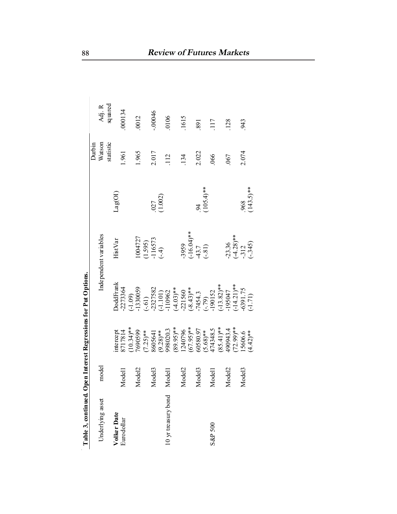| Table 3, continued. Open Interest Regressions for Put Options. |                    |                                                                                                                                                                                    |                                                                                                                                                                                                                                  |                                               |                     |           |         |
|----------------------------------------------------------------|--------------------|------------------------------------------------------------------------------------------------------------------------------------------------------------------------------------|----------------------------------------------------------------------------------------------------------------------------------------------------------------------------------------------------------------------------------|-----------------------------------------------|---------------------|-----------|---------|
|                                                                |                    |                                                                                                                                                                                    |                                                                                                                                                                                                                                  |                                               |                     | Durbin    |         |
| Underlying asset                                               | model              |                                                                                                                                                                                    |                                                                                                                                                                                                                                  | Independent variables                         |                     | Watson    | Adj. R  |
|                                                                |                    |                                                                                                                                                                                    |                                                                                                                                                                                                                                  |                                               |                     | statistic | squared |
| Volker Date                                                    |                    |                                                                                                                                                                                    | <b>oddFrank</b>                                                                                                                                                                                                                  | Hist Var                                      | Lag(OI)             |           |         |
| Eurodollar                                                     | Model <sub>1</sub> | intercept<br>8717814<br>(10.34)**<br>7690599                                                                                                                                       | -2273364                                                                                                                                                                                                                         |                                               |                     | 1.961     | 000134  |
|                                                                |                    |                                                                                                                                                                                    |                                                                                                                                                                                                                                  |                                               |                     |           |         |
|                                                                | Model <sub>2</sub> |                                                                                                                                                                                    | $(-1.09)$<br>$-1330059$                                                                                                                                                                                                          | 1004727                                       |                     | 1.965     | 0012    |
|                                                                |                    | $(7.25)$ **<br>8605641<br>9.28)**<br>998020.3<br>99.95)**                                                                                                                          |                                                                                                                                                                                                                                  | $(1.595)$<br>-116573<br>(-.4)                 |                     |           |         |
|                                                                | 1odel3<br>⋝        |                                                                                                                                                                                    |                                                                                                                                                                                                                                  |                                               |                     | 2.017     | 00046   |
|                                                                |                    |                                                                                                                                                                                    |                                                                                                                                                                                                                                  |                                               | (1.002)             |           |         |
| 10 yr treasury bond                                            | <b>Iodel</b><br>⋝  |                                                                                                                                                                                    |                                                                                                                                                                                                                                  |                                               |                     | 112       | 0106    |
|                                                                |                    |                                                                                                                                                                                    |                                                                                                                                                                                                                                  |                                               |                     |           |         |
|                                                                | Model <sub>2</sub> |                                                                                                                                                                                    |                                                                                                                                                                                                                                  |                                               |                     | 134       | 1615    |
|                                                                |                    |                                                                                                                                                                                    |                                                                                                                                                                                                                                  |                                               |                     |           |         |
|                                                                | 1odel3<br>⋝        |                                                                                                                                                                                    |                                                                                                                                                                                                                                  | $-3959$<br>$(-16.04)*$<br>$+3.7$<br>$(-.81)$  |                     | 2.022     | 891     |
|                                                                |                    |                                                                                                                                                                                    |                                                                                                                                                                                                                                  |                                               | $.94$<br>(105.4)**  |           |         |
| S&P 500                                                        | <b>Iodel</b><br>⋝  |                                                                                                                                                                                    |                                                                                                                                                                                                                                  |                                               |                     | 066       | 117     |
|                                                                |                    | $\begin{array}{l} 1240796\\ (67.95)**\\ (6580.97\\ (688)\\ (7.95)**\\ (7.95)**\\ (7.95)**\\ (7.95)**\\ (8.9541)**\\ (8.9541)**\\ (9.9043.4\\ (12.99)**\\ (7.2.99)**\\ \end{array}$ |                                                                                                                                                                                                                                  |                                               |                     |           |         |
|                                                                | 1odel2<br>⋝        |                                                                                                                                                                                    |                                                                                                                                                                                                                                  |                                               |                     | 067       | 128     |
|                                                                |                    |                                                                                                                                                                                    |                                                                                                                                                                                                                                  |                                               |                     |           |         |
|                                                                | 1odel3<br>⋝        |                                                                                                                                                                                    |                                                                                                                                                                                                                                  |                                               |                     | 2.074     | 943     |
|                                                                |                    | $15606.6$<br>(4.42)**                                                                                                                                                              | $(-61)$<br>$-237582$<br>$-1101)$<br>$(-1.101)$<br>$(-4.03)$ <sup>**</sup><br>$(-4.03)$ <sup>**</sup><br>$-21560$<br>$(-8.43)$ <sup>**</sup><br>$-7454.3$<br>$(-79)152$<br>$(-13.82)$ <sup>**</sup><br>$-195047$<br>$(-14.21)$ ** | $-23.36$<br>$(-4.28)**$<br>$-312$<br>$(-345)$ | $.968$<br>(143.5)** |           |         |

Table 3, continued. Open Interest Regressions for Put Options.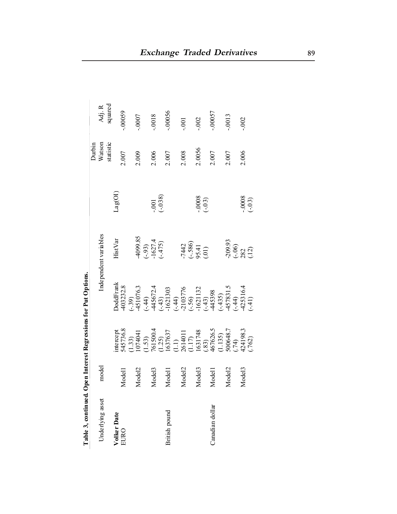| Table 3, continued. |                    |                                                                                                                                                                                                                                                                                                | Open Interest Regressions for Put Options. |                                           |                        |                     |          |
|---------------------|--------------------|------------------------------------------------------------------------------------------------------------------------------------------------------------------------------------------------------------------------------------------------------------------------------------------------|--------------------------------------------|-------------------------------------------|------------------------|---------------------|----------|
|                     |                    |                                                                                                                                                                                                                                                                                                |                                            |                                           |                        | Durbin              |          |
| Underlying asset    | model              |                                                                                                                                                                                                                                                                                                |                                            | Independent variables                     |                        | Watson<br>statistic | Adj. R   |
|                     |                    |                                                                                                                                                                                                                                                                                                |                                            |                                           |                        |                     | squared  |
| Volker Date         |                    | mercept                                                                                                                                                                                                                                                                                        | <b>oddFrank</b>                            | <b>HistVar</b>                            | Lag(OI)                |                     |          |
| EURO                | Model <sub>1</sub> | \$35736.8                                                                                                                                                                                                                                                                                      | 403232.8                                   |                                           |                        | 2.007               | $-00059$ |
|                     |                    |                                                                                                                                                                                                                                                                                                |                                            |                                           |                        |                     |          |
|                     | Model2             |                                                                                                                                                                                                                                                                                                |                                            |                                           |                        | 2.009               | -.0007   |
|                     |                    |                                                                                                                                                                                                                                                                                                |                                            | 4099.85<br>(-.93)<br>-1627.4<br>(-.475)   |                        |                     |          |
|                     | Model <sub>3</sub> |                                                                                                                                                                                                                                                                                                |                                            |                                           |                        | 2.006               | $-0.018$ |
|                     |                    |                                                                                                                                                                                                                                                                                                |                                            |                                           | $-0.01$<br>$(-0.38)$   |                     |          |
| British pound       | Model <sub>1</sub> |                                                                                                                                                                                                                                                                                                |                                            |                                           |                        | 2.007               | $-00056$ |
|                     |                    |                                                                                                                                                                                                                                                                                                |                                            |                                           |                        |                     |          |
|                     | Model2             |                                                                                                                                                                                                                                                                                                |                                            |                                           |                        | 2.008               | .001     |
|                     |                    |                                                                                                                                                                                                                                                                                                |                                            |                                           |                        |                     |          |
|                     | Model <sub>3</sub> |                                                                                                                                                                                                                                                                                                |                                            | $-7442$<br>$(-.586)$<br>$95.41$<br>$(01)$ |                        | 2.0056              | .002     |
|                     |                    |                                                                                                                                                                                                                                                                                                |                                            |                                           | $-0.0008$<br>$(-0.03)$ |                     |          |
| Canadian dollar     | Model <sup>1</sup> |                                                                                                                                                                                                                                                                                                |                                            |                                           |                        | 2.007               | $-00057$ |
|                     |                    |                                                                                                                                                                                                                                                                                                |                                            |                                           |                        |                     |          |
|                     | Model2             |                                                                                                                                                                                                                                                                                                |                                            |                                           |                        | 2.007               | $-0013$  |
|                     |                    |                                                                                                                                                                                                                                                                                                |                                            |                                           |                        |                     |          |
|                     | Model <sub>3</sub> |                                                                                                                                                                                                                                                                                                |                                            |                                           |                        | 2.006               | .002     |
|                     |                    | $\begin{array}{l} (1.33)\\ 1074041\\ 10750\\ (1.53)\\ (1.54)\\ (1.55)\\ (1.56)\\ (1.1)\\ (1.1)\\ (1.1)\\ (1.1)\\ (1.1)\\ (1.17)\\ (1.17)\\ (1.135)\\ (1.135)\\ (1.136)\\ (1.137)\\ (1.138)\\ (1.139)\\ (1.130)\\ (1.130)\\ (1.130)\\ (1.130)\\ (1.130)\\ (1.131)\\ (1.130)\\ (1.131)\\ (1.132$ |                                            | $-209.93$<br>$(-.06)$<br>$282$<br>$(12)$  | $-0.0008$<br>$(-0.03)$ |                     |          |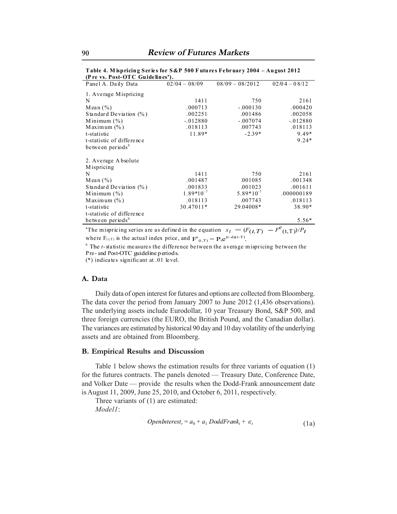| $\mu$ it is. I use OTC Galucines ).                                                               |                 |                   |                 |
|---------------------------------------------------------------------------------------------------|-----------------|-------------------|-----------------|
| Panel A. Daily Data                                                                               | $02/04 - 08/09$ | $08/09 - 08/2012$ | $02/04 - 08/12$ |
| 1. Average Mispricing                                                                             |                 |                   |                 |
| N                                                                                                 | 1411            | 750               | 2161            |
| Mean $(\% )$                                                                                      | .000713         | $-.000130$        | .000420         |
| Standard Deviation $(\% )$                                                                        | .002251         | .001486           | .002058         |
| Minimum $(\% )$                                                                                   | $-.012880$      | $-.007074$        | $-.012880$      |
| Maximum $(\% )$                                                                                   | .018113         | .007743           | .018113         |
| t-statistic                                                                                       | 11.89*          | $-2.39*$          | 9.49*           |
| t-statistic of difference                                                                         |                 |                   | $9.24*$         |
| between periods <sup>b</sup>                                                                      |                 |                   |                 |
| 2. Average A bsolute                                                                              |                 |                   |                 |
| Mispricing                                                                                        |                 |                   |                 |
| N                                                                                                 | 1411            | 750               | 2161            |
| Mean $(\% )$                                                                                      | .001487         | .001085           | .001348         |
| Standard Deviation $(\% )$                                                                        | .001833         | .001023           | .001611         |
| Minimum $(\% )$                                                                                   | $1.89*10^{-7}$  | $5.89*10^{-7}$    | .000000189      |
| Maximum $(\% )$                                                                                   | .018113         | .007743           | .018113         |
| t-statistic                                                                                       | 30.47011*       | 29.04008*         | 38.90*          |
| t-statistic of difference                                                                         |                 |                   |                 |
| between periods <sup>b</sup>                                                                      |                 |                   | $5.56*$         |
| <sup>a</sup> The mispricing series are as defined in the equation $x_t = (F(t,T) - F^e(t,T))/P_t$ |                 |                   |                 |

**Table 4. M ispricing Series for S&P 500 F utures February 2004 – August 2012 (P re vs. Post-OTC Guidelinesa ).** 

a where  $F_{(t,T)}$  is the actual index price, and  $F^e_{(t,T)} = P_t e^{(r-d)(t-T)}$ .

<sup>b</sup> The *t*-statistic measures the difference between the average mispricing between the Pre- and Post-OTC guideline periods.

(\*) indicates significant at .01 level.

#### **A. Data**

Daily data of open interest for futures and options are collected from Bloomberg. The data cover the period from January 2007 to June 2012 (1,436 observations). The underlying assets include Eurodollar, 10 year Treasury Bond, S&P 500, and three foreign currencies (the EURO, the British Pound, and the Canadian dollar). The variances are estimated by historical 90 day and 10 day volatility of the underlying assets and are obtained from Bloomberg.

#### **B. Empirical Results and Discussion**

Table 1 below shows the estimation results for three variants of equation (1) for the futures contracts. The panels denoted — Treasury Date, Conference Date, and Volker Date — provide the results when the Dodd-Frank announcement date is August 11, 2009, June 25, 2010, and October 6, 2011, respectively.

Three variants of (1) are estimated: *Model1*:

$$
OpenInterestr = a0 + a1 DoddFrankt + \epsilont
$$
\n(1a)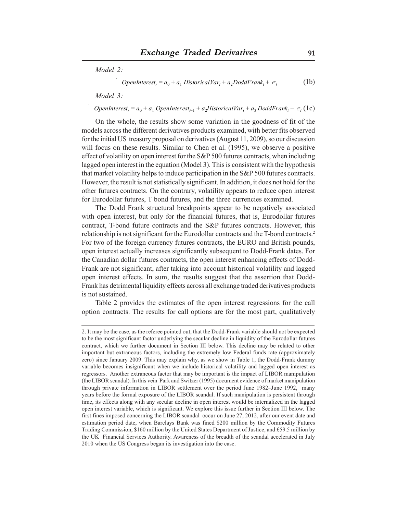*Model 2:*

$$
OpenInterest_r = a_0 + a_1 HistoricalVar_t + a_2DoddFrank_t + \epsilon_t
$$
 (1b)

*Model 3:*

 $OpenInterest_r = a_0 + a_1 \text{ OpenInterest}_{t-1} + a_2 \text{HistoricalVar}_t + a_3 \text{ DoddFrank}_t + \epsilon_t (1c)$ 

On the whole, the results show some variation in the goodness of fit of the models across the different derivatives products examined, with better fits observed for the initial US treasury proposal on derivatives (August 11, 2009), so our discussion will focus on these results. Similar to Chen et al. (1995), we observe a positive effect of volatility on open interest for the S&P 500 futures contracts, when including lagged open interest in the equation (Model 3). This is consistent with the hypothesis that market volatility helps to induce participation in the S&P 500 futures contracts. However, the result is not statistically significant. In addition, it does not hold for the other futures contracts. On the contrary, volatility appears to reduce open interest for Eurodollar futures, T bond futures, and the three currencies examined.

The Dodd Frank structural breakpoints appear to be negatively associated with open interest, but only for the financial futures, that is, Eurodollar futures contract, T-bond future contracts and the S&P futures contracts. However, this relationship is not significant for the Eurodollar contracts and the T-bond contracts.2 For two of the foreign currency futures contracts, the EURO and British pounds, open interest actually increases significantly subsequent to Dodd-Frank dates. For the Canadian dollar futures contracts, the open interest enhancing effects of Dodd-Frank are not significant, after taking into account historical volatility and lagged open interest effects. In sum, the results suggest that the assertion that Dodd-Frank has detrimental liquidity effects across all exchange traded derivatives products is not sustained.

Table 2 provides the estimates of the open interest regressions for the call option contracts. The results for call options are for the most part, qualitatively

<sup>2.</sup> It may be the case, as the referee pointed out, that the Dodd-Frank variable should not be expected to be the most significant factor underlying the secular decline in liquidity of the Eurodollar futures contract, which we further document in Section III below. This decline may be related to other important but extraneous factors, including the extremely low Federal funds rate (approximately zero) since January 2009. This may explain why, as we show in Table 1, the Dodd-Frank dummy variable becomes insignificant when we include historical volatility and lagged open interest as regressors. Another extraneous factor that may be important is the impact of LIBOR manipulation (the LIBOR scandal). In this vein Park and Switzer (1995) document evidence of market manipulation through private information in LIBOR settlement over the period June 1982–June 1992, many years before the formal exposure of the LIBOR scandal. If such manipulation is persistent through time, its effects along with any secular decline in open interest would be internalized in the lagged open interest variable, which is significant. We explore this issue further in Section III below. The first fines imposed concerning the LIBOR scandal occur on June 27, 2012, after our event date and estimation period date, when Barclays Bank was fined \$200 million by the Commodity Futures Trading Commission, \$160 million by the United States Department of Justice, and £59.5 million by the UK Financial Services Authority. Awareness of the breadth of the scandal accelerated in July 2010 when the US Congress began its investigation into the case.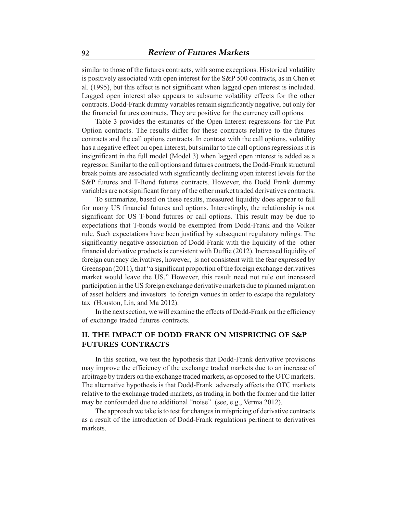similar to those of the futures contracts, with some exceptions. Historical volatility is positively associated with open interest for the S&P 500 contracts, as in Chen et al. (1995), but this effect is not significant when lagged open interest is included. Lagged open interest also appears to subsume volatility effects for the other contracts. Dodd-Frank dummy variables remain significantly negative, but only for the financial futures contracts. They are positive for the currency call options.

Table 3 provides the estimates of the Open Interest regressions for the Put Option contracts. The results differ for these contracts relative to the futures contracts and the call options contracts. In contrast with the call options, volatility has a negative effect on open interest, but similar to the call options regressions it is insignificant in the full model (Model 3) when lagged open interest is added as a regressor. Similar to the call options and futures contracts, the Dodd-Frank structural break points are associated with significantly declining open interest levels for the S&P futures and T-Bond futures contracts. However, the Dodd Frank dummy variables are not significant for any of the other market traded derivatives contracts.

To summarize, based on these results, measured liquidity does appear to fall for many US financial futures and options. Interestingly, the relationship is not significant for US T-bond futures or call options. This result may be due to expectations that T-bonds would be exempted from Dodd-Frank and the Volker rule. Such expectations have been justified by subsequent regulatory rulings. The significantly negative association of Dodd-Frank with the liquidity of the other financial derivative products is consistent with Duffie (2012). Increased liquidity of foreign currency derivatives, however, is not consistent with the fear expressed by Greenspan (2011), that "a significant proportion of the foreign exchange derivatives market would leave the US." However, this result need not rule out increased participation in the US foreign exchange derivative markets due to planned migration of asset holders and investors to foreign venues in order to escape the regulatory tax (Houston, Lin, and Ma 2012).

In the next section, we will examine the effects of Dodd-Frank on the efficiency of exchange traded futures contracts.

# **II. THE IMPACT OF DODD FRANK ON MISPRICING OF S&P FUTURES CONTRACTS**

In this section, we test the hypothesis that Dodd-Frank derivative provisions may improve the efficiency of the exchange traded markets due to an increase of arbitrage by traders on the exchange traded markets, as opposed to the OTC markets. The alternative hypothesis is that Dodd-Frank adversely affects the OTC markets relative to the exchange traded markets, as trading in both the former and the latter may be confounded due to additional "noise" (see, e.g., Verma 2012).

The approach we take is to test for changes in mispricing of derivative contracts as a result of the introduction of Dodd-Frank regulations pertinent to derivatives markets.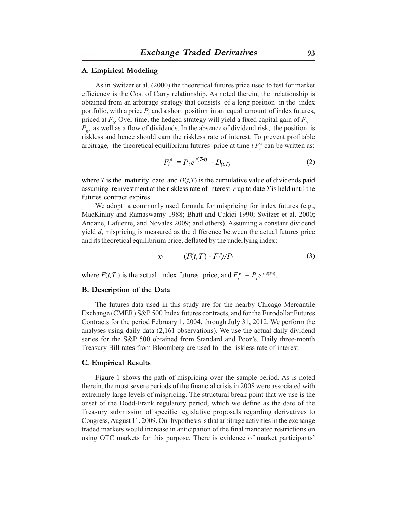#### **A. Empirical Modeling**

As in Switzer et al. (2000) the theoretical futures price used to test for market efficiency is the Cost of Carry relationship. As noted therein, the relationship is obtained from an arbitrage strategy that consists of a long position in the index portfolio, with a price  $P_0$  and a short position in an equal amount of index futures, priced at  $F_0$ . Over time, the hedged strategy will yield a fixed capital gain of  $F_0$  –  $P_0$ , as well as a flow of dividends. In the absence of dividend risk, the position is riskless and hence should earn the riskless rate of interest. To prevent profitable arbitrage, the theoretical equilibrium futures price at time  $t F_t^e$  can be written as:

$$
F_t^e = P_t e^{r(T-t)} - D_{(t,T)}
$$
 (2)

where *T* is the maturity date and  $D(t, T)$  is the cumulative value of dividends paid assuming reinvestment at the riskless rate of interest *r* up to date *T* is held until the futures contract expires.

We adopt a commonly used formula for mispricing for index futures (e.g., MacKinlay and Ramaswamy 1988; Bhatt and Cakici 1990; Switzer et al. 2000; Andane, Lafuente, and Novales 2009; and others). Assuming a constant dividend yield *d*, mispricing is measured as the difference between the actual futures price and its theoretical equilibrium price, deflated by the underlying index:

$$
x_t = (F(t,T) - F_t^e)/P_t \tag{3}
$$

where  $F(t,T)$  is the actual index futures price, and  $F_t^e = P_t e^{r-d(T-t)}$ .

#### **B. Description of the Data**

The futures data used in this study are for the nearby Chicago Mercantile Exchange (CMER) S&P 500 Index futures contracts, and for the Eurodollar Futures Contracts for the period February 1, 2004, through July 31, 2012. We perform the analyses using daily data (2,161 observations). We use the actual daily dividend series for the S&P 500 obtained from Standard and Poor's. Daily three-month Treasury Bill rates from Bloomberg are used for the riskless rate of interest.

#### **C. Empirical Results**

Figure 1 shows the path of mispricing over the sample period. As is noted therein, the most severe periods of the financial crisis in 2008 were associated with extremely large levels of mispricing. The structural break point that we use is the onset of the Dodd-Frank regulatory period, which we define as the date of the Treasury submission of specific legislative proposals regarding derivatives to Congress, August 11, 2009. Our hypothesis is that arbitrage activities in the exchange traded markets would increase in anticipation of the final mandated restrictions on using OTC markets for this purpose. There is evidence of market participants'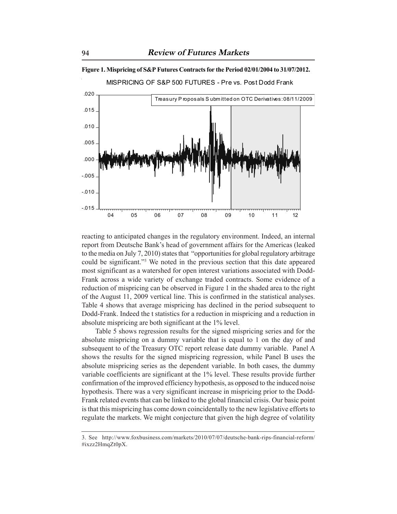

**Figure 1. Mispricing of S&P Futures Contracts for the Period 02/01/2004 to 31/07/2012.**

reacting to anticipated changes in the regulatory environment. Indeed, an internal report from Deutsche Bank's head of government affairs for the Americas (leaked to the media on July 7, 2010) states that "opportunities for global regulatory arbitrage could be significant."3 We noted in the previous section that this date appeared most significant as a watershed for open interest variations associated with Dodd-Frank across a wide variety of exchange traded contracts. Some evidence of a reduction of mispricing can be observed in Figure 1 in the shaded area to the right of the August 11, 2009 vertical line. This is confirmed in the statistical analyses. Table 4 shows that average mispricing has declined in the period subsequent to Dodd-Frank. Indeed the t statistics for a reduction in mispricing and a reduction in absolute mispricing are both significant at the 1% level.

Table 5 shows regression results for the signed mispricing series and for the absolute mispricing on a dummy variable that is equal to 1 on the day of and subsequent to of the Treasury OTC report release date dummy variable. Panel A shows the results for the signed mispricing regression, while Panel B uses the absolute mispricing series as the dependent variable. In both cases, the dummy variable coefficients are significant at the 1% level. These results provide further confirmation of the improved efficiency hypothesis, as opposed to the induced noise hypothesis. There was a very significant increase in mispricing prior to the Dodd-Frank related events that can be linked to the global financial crisis. Our basic point is that this mispricing has come down coincidentally to the new legislative efforts to regulate the markets. We might conjecture that given the high degree of volatility

<sup>3.</sup> See http://www.foxbusiness.com/markets/2010/07/07/deutsche-bank-rips-financial-reform/ #ixzz2HmqZt0pX.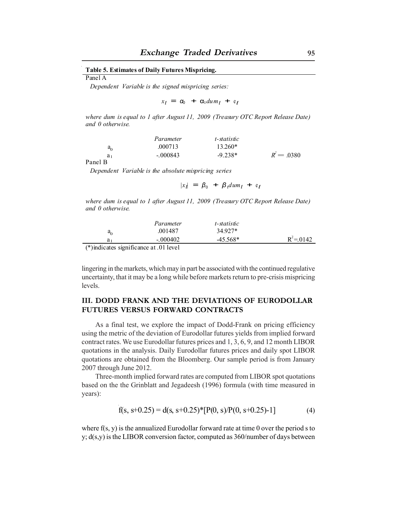#### **Table 5. Estimates of Daily Futures Mispricing.**

Panel A

*Dependent Variable is the signed mispricing series:* 

 $x_t = \alpha_0 + \alpha_1 du m_t + e_t$ 

*where dum is equal to 1 after August 11, 2009 (Treasury OTC Report Release Date) and 0 otherwise.*

|                                                  | Parameter  | t-statistic |               |
|--------------------------------------------------|------------|-------------|---------------|
| $a_0$                                            | .000713    | $13.260*$   |               |
| a <sub>1</sub>                                   | $-.000843$ | $-9.238*$   | $R^2 = .0380$ |
| $\sim$ $\sim$ $\sim$ $\sim$ $\sim$ $\sim$ $\sim$ |            |             |               |

Panel B

*Dependent Variable is the absolute mispricing series* 

 $|x_t| = \beta_0 + \beta_1 dum_t + e_t$ 

*where dum is equal to 1 after August 11, 2009 (Treasury OTC Report Release Date) and 0 otherwise.*

|                                                                            | Parameter  | t-statistic |              |
|----------------------------------------------------------------------------|------------|-------------|--------------|
| a,                                                                         | .001487    | 34.927*     |              |
| a <sub>1</sub>                                                             | $-.000402$ | $-45.568*$  | $R^2 = 0142$ |
| $\cdot$ $\cdot$ $\sim$<br>$\sim$ $\sim$ $\sim$ $\sim$ $\sim$ $\sim$ $\sim$ | . 011      |             |              |

(\*)indicates significance at .01 level

 $\bar{z}$ 

lingering in the markets, which may in part be associated with the continued regulative uncertainty, that it may be a long while before markets return to pre-crisis mispricing levels.

# **III. DODD FRANK AND THE DEVIATIONS OF EURODOLLAR FUTURES VERSUS FORWARD CONTRACTS**

As a final test, we explore the impact of Dodd-Frank on pricing efficiency using the metric of the deviation of Eurodollar futures yields from implied forward contract rates. We use Eurodollar futures prices and 1, 3, 6, 9, and 12 month LIBOR quotations in the analysis. Daily Eurodollar futures prices and daily spot LIBOR quotations are obtained from the Bloomberg. Our sample period is from January 2007 through June 2012.

Three-month implied forward rates are computed from LIBOR spot quotations based on the the Grinblatt and Jegadeesh (1996) formula (with time measured in years):

$$
f(s, s+0.25) = d(s, s+0.25)^{*}[P(0, s)/P(0, s+0.25)-1]
$$
\n(4)

where f(s, y) is the annualized Eurodollar forward rate at time 0 over the period s to y;  $d(s,y)$  is the LIBOR conversion factor, computed as  $360/n$ umber of days between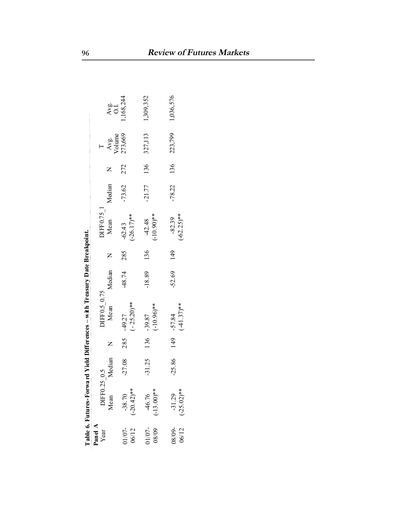|                    |                           |                 |   | Table 6. Futures-Forward Yield Differences - with Treasury Date Breakpoint. |              |     |                           |              |     |                                                |                          |
|--------------------|---------------------------|-----------------|---|-----------------------------------------------------------------------------|--------------|-----|---------------------------|--------------|-----|------------------------------------------------|--------------------------|
| Panel A<br>Year    | DIFF0.25                  | $\widetilde{0}$ |   | $DIFF 0.5_0.75$<br>Mean $I$                                                 |              |     | $DIFF0.75_1$ Mean         |              |     |                                                |                          |
|                    | Mean                      | Median          | Z |                                                                             | Median       |     |                           | Median       |     | $\frac{\text{Avg.}}{\text{Volume}}$<br>273,669 | Avg.<br>0.1<br>1,168,244 |
| 01/07-<br>06/12    | $(-20.42)$ **<br>$-38.70$ | $-27.08$        |   | $(-25.20)$ **<br>285 -49.27                                                 | 48.74        | 285 | $-62.43$<br>$(-26.17)$ ** | $-73.62$     | 272 |                                                |                          |
| $01/07 -$<br>08/09 | $(-13.00)$ **<br>-46.76   |                 |   | $(-10.96)$ **<br>$-31.25$ 136 $-39.87$                                      | $-18.89$ 136 |     | $-42.48$<br>$(-10.90)$ ** |              |     | $-21.77$ 136 327,113                           | 1,309,352                |
| $08/09-$<br>06/12  | $(-25.02)$ **<br>$-31.29$ |                 |   | $(-41.37)$ **<br>$-25.86$ 149 $-57.84$                                      | $-52.69$     | 149 | $(-62.25)$ **<br>$-82.39$ | $-78.22$ 136 |     | 223,799                                        | 1,036,576                |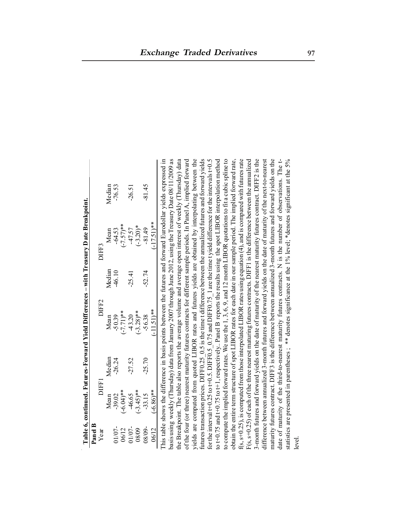| Panel B |              |          |               |          |               |                                                                                                                                                                                                                                 |
|---------|--------------|----------|---------------|----------|---------------|---------------------------------------------------------------------------------------------------------------------------------------------------------------------------------------------------------------------------------|
| Year    | <b>DIFF1</b> |          | DIFF2         |          | DIFF3         |                                                                                                                                                                                                                                 |
|         | Mean         | Median   | Mean          | Median   | Mean          | Median                                                                                                                                                                                                                          |
| 01/07-  | $-39.02$     | $-26.24$ | $-50.39$      | 46.10    | $-64.53$      | $-76.53$                                                                                                                                                                                                                        |
| 06/12   | $(-6.04)$ ** |          | $(-7.71)*$    |          | $(-7.57)$ **  |                                                                                                                                                                                                                                 |
| 01/07-  | 46.65        | $-27.52$ | $-43.20$      | $-25.41$ | $-47.57$      | $-26.51$                                                                                                                                                                                                                        |
| 08/09   | $(-3.45)$ ** |          | $(-3.28)$ **  |          | $(-3.20)*$    |                                                                                                                                                                                                                                 |
| 08/09-  | $-33.15$     | $-25.70$ | $-56.38$      | $-52.74$ | $-81.49$      | $-81.45$                                                                                                                                                                                                                        |
| 06/12   | $(-6.86)$ ** |          | $(-11.51)$ ** |          | $(-17.51)$ ** |                                                                                                                                                                                                                                 |
|         |              |          |               |          |               | This table shows the difference in basis points between the futures and forward Eurodollar yields expressed in<br>basis using weekly (Thursday) data from January 2007 through June 2012, using the Treasury Date 08/11/2009 as |
|         |              |          |               |          |               | the Breakpoint. The table also reports the average volume and average open interest of weekly (Thursday) data                                                                                                                   |
|         |              |          |               |          |               | of the four (or three) nearest maturity futures contracts for different sample periods. In Panel A, implied forward                                                                                                             |
|         |              |          |               |          |               | yields are computed from quoted LIBOR rates and futures yields are obtained by interpolating between the                                                                                                                        |
|         |              |          |               |          |               | futures transaction prices. DIFF0.25 0.5 is the time t difference between the annualized futures and forward yields                                                                                                             |
|         |              |          |               |          |               | for the interval t+0.25 to t+0.5. DIFF0.5 0.75 and DIFF0.75 1 are the time t yield difference for the intervals t+0.5                                                                                                           |
|         |              |          |               |          |               | to t+0.75 and t+0.75 to t+1, respectively. Panel B reports the results using the spot LIBOR interpolation method                                                                                                                |
|         |              |          |               |          |               | to compute the implied forward rates. We use the 1, 3, 6, 9, and 12 month LIBOR quotations to fit a cubic spline to                                                                                                             |
|         |              |          |               |          |               | obtain the entire term structure of spot LIBOR rates for each date in our sample period. The implied forward rate,                                                                                                              |
|         |              |          |               |          |               | $f(s, s+0.25)$ , is computed from those interpolated LIBOR rates using equation (4), and is compared with futures rate                                                                                                          |
|         |              |          |               |          |               | $F(s, s+0.25)$ of each of the three nearest maturing futures contracts. DIFF1 is the difference between the annualized                                                                                                          |
|         |              |          |               |          |               | 3-month futures and forward yields on the date of maturity of the nearest maturity futures contract. DIFF2 is the                                                                                                               |
|         |              |          |               |          |               | difference between annualized 3-month futures and forward yields on the date of maturity of the next-to-nearest                                                                                                                 |
|         |              |          |               |          |               | maturity futures contract. DIFF3 is the difference between annualized 3-month futures and forward yields on the                                                                                                                 |
|         |              |          |               |          |               | date of maturity of the third-to-nearest maturity futures contracts. N is the number of observations. The t-                                                                                                                    |
|         |              |          |               |          |               | statistics are presented in parentheses ; ** denotes significance at the 1% level; *denotes significant at the 5%                                                                                                               |
| level.  |              |          |               |          |               |                                                                                                                                                                                                                                 |

Table 6, continued. Futures-Forward Yield Differences - with Treasury Date Breakpoint. **Table 6, continued. Futures-Forward Yield Differences – with Treasury Date Breakpoint.**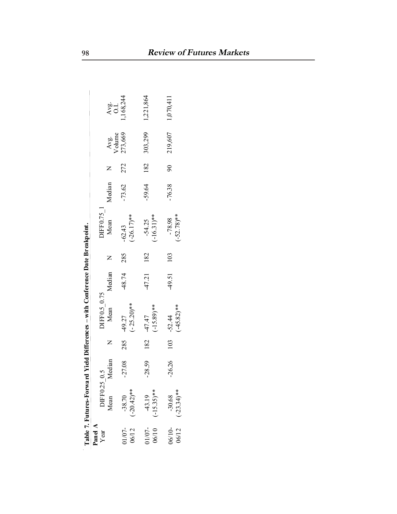|                   |                           |          | Table 7. Futures-Forward Yield Differences – with Conference Date Breakpoint. |           |     |                           |          |     |                      |             |
|-------------------|---------------------------|----------|-------------------------------------------------------------------------------|-----------|-----|---------------------------|----------|-----|----------------------|-------------|
| Panel A<br>$Year$ | DIFF0.25 0.5              |          |                                                                               |           |     | DIFF0.75_1                |          |     |                      |             |
|                   | Mean                      | Median   | $DIF0.5\_0.75$<br>Mean $M$                                                    | Median    |     | Mean                      | Median   |     | Avg.<br>Volume       | $rac{1}{2}$ |
| 01/07-<br>06/12   | $-38.70$<br>$(-20.42)$ ** | $-27.08$ | $(-25.20)$ **<br>285 49.27                                                    | -48.74    | 285 | $(-26.17)$ **<br>$-62.43$ | $-73.62$ | 272 | 273,669              | .168,244    |
| $\frac{01}{07}$ - | $43.19$<br>(-15.35)**     |          | $(-15.89)$ **<br>$-28.59$ 182 47.47                                           | 47.21 182 |     | $(-16.31)$ **<br>$-54.25$ |          |     | $-59.64$ 182 303,299 | 1,221,864   |
| 06/10-<br>06/12   | $(-23.34)$ **<br>$-30.68$ | $-26.26$ | $(-45.82)**$<br>$103 - 52.44$                                                 | 49.51     | 103 | $(-52.78)$ **<br>$-78.98$ | $-76.38$ |     | 90 219,607 1,070,411 |             |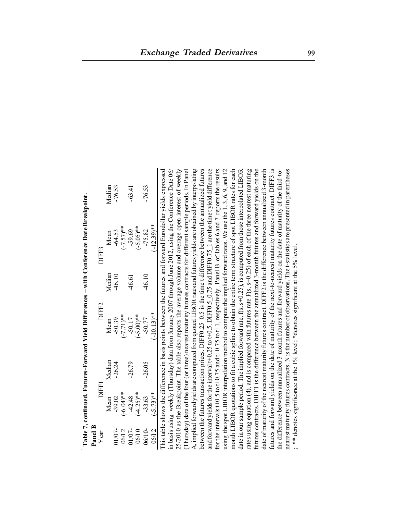|         |                       |          | Table 7, continued. Futures-Forward Yield Differences – with Conference Date Breakpoint.                           |        |               |          |
|---------|-----------------------|----------|--------------------------------------------------------------------------------------------------------------------|--------|---------------|----------|
| Panel B |                       |          |                                                                                                                    |        |               |          |
| Year    | DIFFI                 |          | DIFF2                                                                                                              |        | DIFF3         |          |
|         | Mean                  | Median   | Mean                                                                                                               | Median | Mean          | Median   |
| 01/07-  | $-39.02$              | $-26.24$ | $-50.39$                                                                                                           | 46.10  | -64.53        | $-76.53$ |
| 06/12   | $**(b0.6)$            |          | $(-7.71)*$                                                                                                         |        | $(-7.57)$ **  |          |
| 01/07-  | $-42.48$              | $-26.79$ | $-50.17$                                                                                                           | 46.61  | $-59.69$      | $-63.41$ |
| 06/10   | $-4.25$ <sup>**</sup> |          | $(-5.00)**$                                                                                                        |        | $(-5.05)$ **  |          |
| 06/10-  | $-33.63$              | $-26.05$ | $-50.77$                                                                                                           | 46.10  | $-75.82$      | $-76.53$ |
| 06/12   | $(-5.73)$ **          |          | $(-10.13)$ **                                                                                                      |        | $(-12.39)$ ** |          |
|         |                       |          | This table shows the difference in basis points between the futures and forward Eurodollar vields expressed        |        |               |          |
|         |                       |          | in basis using weekly (Thursday) data from January 2007 through June 2012, using the Conference Date 06/           |        |               |          |
|         |                       |          | 25/2010 as the Breakpoint. The table also reports the average volume and average open interest of weekly           |        |               |          |
|         |                       |          | (Thursday) data of the four (or three) nearest maturity futures contracts for different sample periods. In Panel   |        |               |          |
|         |                       |          | A, implied forward yields are computed from quoted LIBOR rates and futures yields are obtained by interpolating    |        |               |          |
|         |                       |          | between the futures transaction prices. DIFF0.25 $\,0.5$ is the time t difference between the annualized futures   |        |               |          |
|         |                       |          | and forward yields for the interval t+0.25 to t+0.5. DIFF0.5 0.75 and DIFF0.75 1 are the time t yield difference   |        |               |          |
|         |                       |          | for the intervals t+0.5 to t+0.75 and t+0.75 to t+1, respectively. Panel B of Tables 6 and 7 reports the results   |        |               |          |
|         |                       |          | using the spot LIBOR interpolation method to compute the implied forward rates. We use the 1, 3, 6, 9, and 12      |        |               |          |
|         |                       |          | month LIBOR quotations to fit a cubic spline to obtain the entire term structure of spot LIBOR rates for each      |        |               |          |
|         |                       |          | date in our sample period. The implied forward rate, f(s, s+0.25), is computed from those interpolated LIBOR       |        |               |          |
|         |                       |          | rates using equation (4), and is compared with futures rate $F(s, s+0.25)$ of each of the three nearest maturing   |        |               |          |
|         |                       |          | futures contracts. DIFF1 is the difference between the annualized 3-month futures and forward yields on the        |        |               |          |
|         |                       |          | date of maturity of the nearest maturity futures contract. DIFF2 is the difference between annualized 3-month      |        |               |          |
|         |                       |          | futures and forward yields on the date of maturity of the next-to-nearest maturity futures contract. DIFF3 is      |        |               |          |
|         |                       |          | the difference between annualized 3-month futures and forward yields on the date of maturity of the third-to-      |        |               |          |
|         |                       |          | nearest maturity futures contracts. N is the number of observations. The t-statistics are presented in parentheses |        |               |          |
|         |                       |          | ; *** denotes significance at the 1% level; *denotes significant at the 5% level.                                  |        |               |          |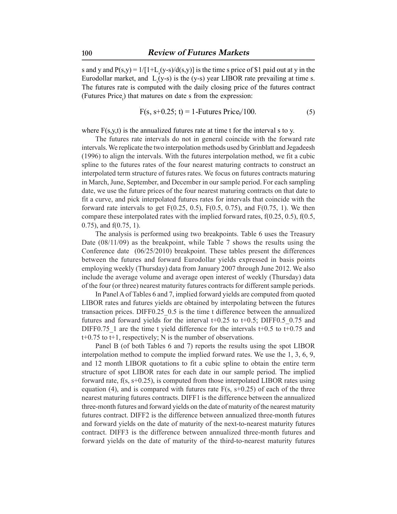s and y and  $P(s,y) = 1/[1+L_s(y-s)/d(s,y)]$  is the time s price of \$1 paid out at y in the Eurodollar market, and  $L_s(y-s)$  is the (y-s) year LIBOR rate prevailing at time s. The futures rate is computed with the daily closing price of the futures contract (Futures Price<sub>t</sub>) that matures on date s from the expression:

$$
F(s, s+0.25; t) = 1 - Futures Price_t/100.
$$
 (5)

where  $F(s, y, t)$  is the annualized futures rate at time t for the interval s to y.

The futures rate intervals do not in general coincide with the forward rate intervals. We replicate the two interpolation methods used by Grinblatt and Jegadeesh (1996) to align the intervals. With the futures interpolation method, we fit a cubic spline to the futures rates of the four nearest maturing contracts to construct an interpolated term structure of futures rates. We focus on futures contracts maturing in March, June, September, and December in our sample period. For each sampling date, we use the future prices of the four nearest maturing contracts on that date to fit a curve, and pick interpolated futures rates for intervals that coincide with the forward rate intervals to get  $F(0.25, 0.5)$ ,  $F(0.5, 0.75)$ , and  $F(0.75, 1)$ . We then compare these interpolated rates with the implied forward rates, f(0.25, 0.5), f(0.5, 0.75), and f(0.75, 1).

The analysis is performed using two breakpoints. Table 6 uses the Treasury Date (08/11/09) as the breakpoint, while Table 7 shows the results using the Conference date (06/25/2010) breakpoint. These tables present the differences between the futures and forward Eurodollar yields expressed in basis points employing weekly (Thursday) data from January 2007 through June 2012. We also include the average volume and average open interest of weekly (Thursday) data of the four (or three) nearest maturity futures contracts for different sample periods.

In Panel A of Tables 6 and 7, implied forward yields are computed from quoted LIBOR rates and futures yields are obtained by interpolating between the futures transaction prices. DIFF0.25\_0.5 is the time t difference between the annualized futures and forward yields for the interval  $t+0.25$  to  $t+0.5$ ; DIFF0.5 0.75 and DIFF0.75 1 are the time t yield difference for the intervals  $t+0.5$  to  $t+0.75$  and t+0.75 to t+1, respectively; N is the number of observations.

Panel B (of both Tables 6 and 7) reports the results using the spot LIBOR interpolation method to compute the implied forward rates. We use the 1, 3, 6, 9, and 12 month LIBOR quotations to fit a cubic spline to obtain the entire term structure of spot LIBOR rates for each date in our sample period. The implied forward rate, f(s, s+0.25), is computed from those interpolated LIBOR rates using equation (4), and is compared with futures rate  $F(s, s+0.25)$  of each of the three nearest maturing futures contracts. DIFF1 is the difference between the annualized three-month futures and forward yields on the date of maturity of the nearest maturity futures contract. DIFF2 is the difference between annualized three-month futures and forward yields on the date of maturity of the next-to-nearest maturity futures contract. DIFF3 is the difference between annualized three-month futures and forward yields on the date of maturity of the third-to-nearest maturity futures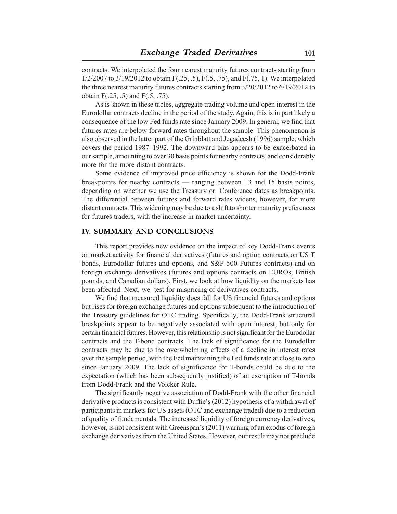contracts. We interpolated the four nearest maturity futures contracts starting from 1/2/2007 to 3/19/2012 to obtain F(.25, .5), F(.5, .75), and F(.75, 1). We interpolated the three nearest maturity futures contracts starting from 3/20/2012 to 6/19/2012 to obtain F(.25, .5) and F(.5, .75).

As is shown in these tables, aggregate trading volume and open interest in the Eurodollar contracts decline in the period of the study. Again, this is in part likely a consequence of the low Fed funds rate since January 2009. In general, we find that futures rates are below forward rates throughout the sample. This phenomenon is also observed in the latter part of the Grinblatt and Jegadeesh (1996) sample, which covers the period 1987–1992. The downward bias appears to be exacerbated in our sample, amounting to over 30 basis points for nearby contracts, and considerably more for the more distant contracts.

Some evidence of improved price efficiency is shown for the Dodd-Frank breakpoints for nearby contracts — ranging between 13 and 15 basis points, depending on whether we use the Treasury or Conference dates as breakpoints. The differential between futures and forward rates widens, however, for more distant contracts. This widening may be due to a shift to shorter maturity preferences for futures traders, with the increase in market uncertainty.

### **IV. SUMMARY AND CONCLUSIONS**

This report provides new evidence on the impact of key Dodd-Frank events on market activity for financial derivatives (futures and option contracts on US T bonds, Eurodollar futures and options, and S&P 500 Futures contracts) and on foreign exchange derivatives (futures and options contracts on EUROs, British pounds, and Canadian dollars). First, we look at how liquidity on the markets has been affected. Next, we test for mispricing of derivatives contracts.

We find that measured liquidity does fall for US financial futures and options but rises for foreign exchange futures and options subsequent to the introduction of the Treasury guidelines for OTC trading. Specifically, the Dodd-Frank structural breakpoints appear to be negatively associated with open interest, but only for certain financial futures. However, this relationship is not significant for the Eurodollar contracts and the T-bond contracts. The lack of significance for the Eurodollar contracts may be due to the overwhelming effects of a decline in interest rates over the sample period, with the Fed maintaining the Fed funds rate at close to zero since January 2009. The lack of significance for T-bonds could be due to the expectation (which has been subsequently justified) of an exemption of T-bonds from Dodd-Frank and the Volcker Rule.

The significantly negative association of Dodd-Frank with the other financial derivative products is consistent with Duffie's (2012) hypothesis of a withdrawal of participants in markets for US assets (OTC and exchange traded) due to a reduction of quality of fundamentals. The increased liquidity of foreign currency derivatives, however, is not consistent with Greenspan's (2011) warning of an exodus of foreign exchange derivatives from the United States. However, our result may not preclude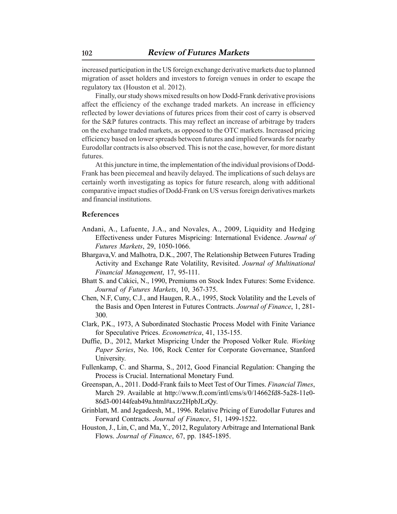increased participation in the US foreign exchange derivative markets due to planned migration of asset holders and investors to foreign venues in order to escape the regulatory tax (Houston et al. 2012).

Finally, our study shows mixed results on how Dodd-Frank derivative provisions affect the efficiency of the exchange traded markets. An increase in efficiency reflected by lower deviations of futures prices from their cost of carry is observed for the S&P futures contracts. This may reflect an increase of arbitrage by traders on the exchange traded markets, as opposed to the OTC markets. Increased pricing efficiency based on lower spreads between futures and implied forwards for nearby Eurodollar contracts is also observed. This is not the case, however, for more distant futures.

At this juncture in time, the implementation of the individual provisions of Dodd-Frank has been piecemeal and heavily delayed. The implications of such delays are certainly worth investigating as topics for future research, along with additional comparative impact studies of Dodd-Frank on US versus foreign derivatives markets and financial institutions.

### **References**

- Andani, A., Lafuente, J.A., and Novales, A., 2009, Liquidity and Hedging Effectiveness under Futures Mispricing: International Evidence. *Journal of Futures Markets*, 29, 1050-1066.
- Bhargava,V. and Malhotra, D.K., 2007, The Relationship Between Futures Trading Activity and Exchange Rate Volatility, Revisited. *Journal of Multinational Financial Management*, 17, 95-111.
- Bhatt S. and Cakici, N., 1990, Premiums on Stock Index Futures: Some Evidence. *Journal of Futures Markets*, 10, 367-375.
- Chen, N.F, Cuny, C.J., and Haugen, R.A., 1995, Stock Volatility and the Levels of the Basis and Open Interest in Futures Contracts. *Journal of Finance*, 1, 281- 300.
- Clark, P.K., 1973, A Subordinated Stochastic Process Model with Finite Variance for Speculative Prices. *Econometrica*, 41, 135-155.
- Duffie, D., 2012, Market Mispricing Under the Proposed Volker Rule. *Working Paper Series*, No. 106, Rock Center for Corporate Governance, Stanford University.
- Fullenkamp, C. and Sharma, S., 2012, Good Financial Regulation: Changing the Process is Crucial. International Monetary Fund.
- Greenspan, A., 2011. Dodd-Frank fails to Meet Test of Our Times. *Financial Times*, March 29. Available at http://www.ft.com/intl/cms/s/0/14662fd8-5a28-11e0- 86d3-00144feab49a.html#axzz2HpbJLzQy.
- Grinblatt, M. and Jegadeesh, M., 1996. Relative Pricing of Eurodollar Futures and Forward Contracts. *Journal of Finance*, 51, 1499-1522.
- Houston, J., Lin, C, and Ma, Y., 2012, Regulatory Arbitrage and International Bank Flows. *Journal of Finance*, 67, pp. 1845-1895.